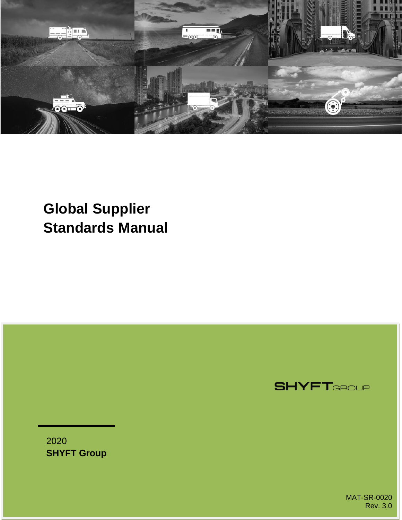

## **Global Supplier Standards Manual**

**SHYFT**GROUP

2020 **SHYFT Group**

> MAT‐SR‐0020 Rev. 3.0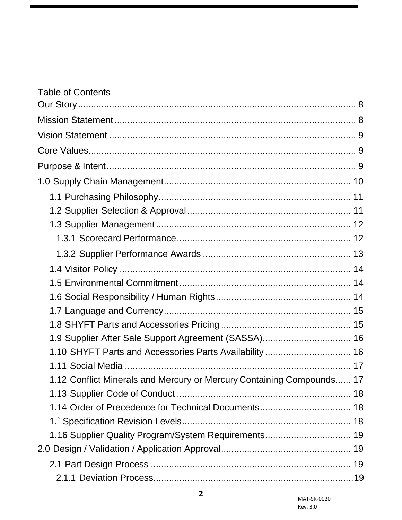| <b>Table of Contents</b>                                              |  |
|-----------------------------------------------------------------------|--|
|                                                                       |  |
|                                                                       |  |
|                                                                       |  |
|                                                                       |  |
|                                                                       |  |
|                                                                       |  |
|                                                                       |  |
|                                                                       |  |
|                                                                       |  |
|                                                                       |  |
|                                                                       |  |
|                                                                       |  |
|                                                                       |  |
|                                                                       |  |
|                                                                       |  |
|                                                                       |  |
| 1.9 Supplier After Sale Support Agreement (SASSA) 16                  |  |
| 1.10 SHYFT Parts and Accessories Parts Availability  16               |  |
|                                                                       |  |
| 1.12 Conflict Minerals and Mercury or Mercury Containing Compounds 17 |  |
|                                                                       |  |
| 1.14 Order of Precedence for Technical Documents 18                   |  |
|                                                                       |  |
| 1.16 Supplier Quality Program/System Requirements 19                  |  |
|                                                                       |  |
|                                                                       |  |
|                                                                       |  |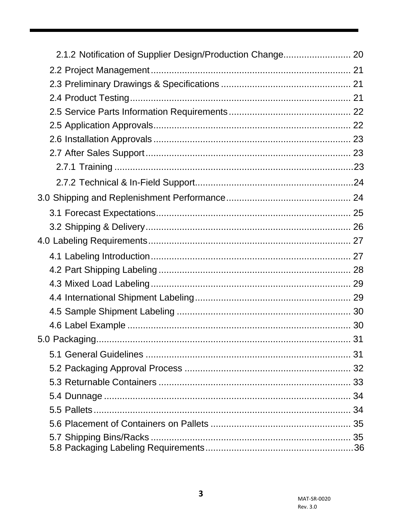| 2.1.2 Notification of Supplier Design/Production Change 20 |  |
|------------------------------------------------------------|--|
|                                                            |  |
|                                                            |  |
|                                                            |  |
|                                                            |  |
|                                                            |  |
|                                                            |  |
|                                                            |  |
|                                                            |  |
|                                                            |  |
|                                                            |  |
|                                                            |  |
|                                                            |  |
|                                                            |  |
|                                                            |  |
|                                                            |  |
|                                                            |  |
|                                                            |  |
|                                                            |  |
|                                                            |  |
|                                                            |  |
|                                                            |  |
|                                                            |  |
|                                                            |  |
|                                                            |  |
|                                                            |  |
|                                                            |  |
|                                                            |  |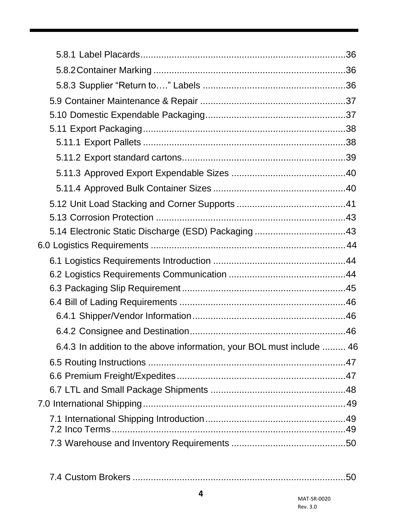| 5.14 Electronic Static Discharge (ESD) Packaging 43                   |  |
|-----------------------------------------------------------------------|--|
|                                                                       |  |
|                                                                       |  |
|                                                                       |  |
|                                                                       |  |
|                                                                       |  |
|                                                                       |  |
|                                                                       |  |
| 6.4.3 In addition to the above information, your BOL must include  46 |  |
|                                                                       |  |
|                                                                       |  |
|                                                                       |  |
|                                                                       |  |
|                                                                       |  |
|                                                                       |  |
|                                                                       |  |

7.4 Custom Brokers [..................................................................................50](#page-48-1)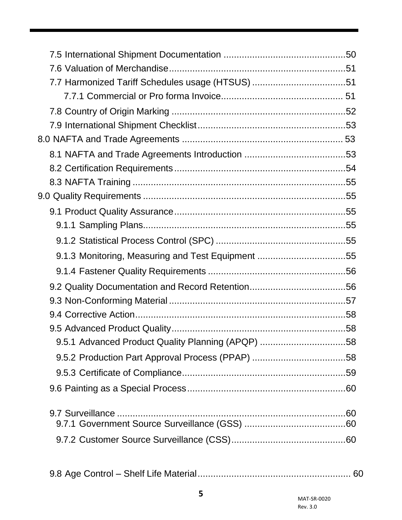| 7.7 Harmonized Tariff Schedules usage (HTSUS) 51  |  |
|---------------------------------------------------|--|
|                                                   |  |
|                                                   |  |
|                                                   |  |
|                                                   |  |
|                                                   |  |
|                                                   |  |
|                                                   |  |
|                                                   |  |
|                                                   |  |
|                                                   |  |
|                                                   |  |
| 9.1.3 Monitoring, Measuring and Test Equipment 55 |  |
|                                                   |  |
|                                                   |  |
|                                                   |  |
|                                                   |  |
|                                                   |  |
| 9.5.1 Advanced Product Quality Planning (APQP) 58 |  |
|                                                   |  |
|                                                   |  |
|                                                   |  |
|                                                   |  |
|                                                   |  |
|                                                   |  |
|                                                   |  |
|                                                   |  |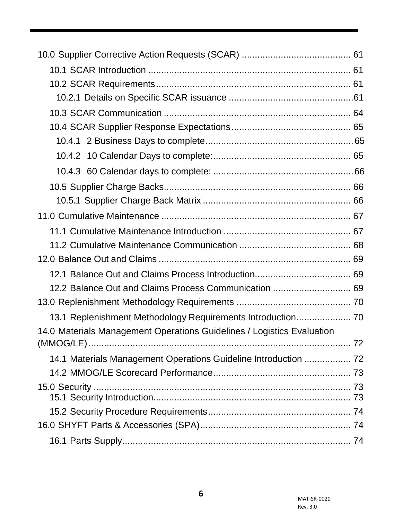| 12.2 Balance Out and Claims Process Communication  69                  |  |
|------------------------------------------------------------------------|--|
|                                                                        |  |
| 13.1 Replenishment Methodology Requirements Introduction 70            |  |
| 14.0 Materials Management Operations Guidelines / Logistics Evaluation |  |
|                                                                        |  |
| 14.1 Materials Management Operations Guideline Introduction  72        |  |
|                                                                        |  |
|                                                                        |  |
|                                                                        |  |
|                                                                        |  |
|                                                                        |  |
|                                                                        |  |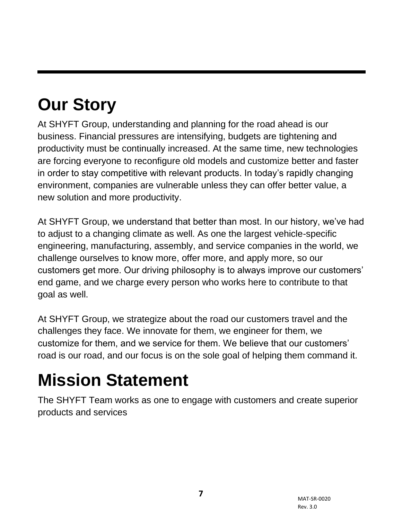# <span id="page-6-0"></span>**Our Story**

At SHYFT Group, understanding and planning for the road ahead is our business. Financial pressures are intensifying, budgets are tightening and productivity must be continually increased. At the same time, new technologies are forcing everyone to reconfigure old models and customize better and faster in order to stay competitive with relevant products. In today's rapidly changing environment, companies are vulnerable unless they can offer better value, a new solution and more productivity.

At SHYFT Group, we understand that better than most. In our history, we've had to adjust to a changing climate as well. As one the largest vehicle-specific engineering, manufacturing, assembly, and service companies in the world, we challenge ourselves to know more, offer more, and apply more, so our customers get more. Our driving philosophy is to always improve our customers' end game, and we charge every person who works here to contribute to that goal as well.

At SHYFT Group, we strategize about the road our customers travel and the challenges they face. We innovate for them, we engineer for them, we customize for them, and we service for them. We believe that our customers' road is our road, and our focus is on the sole goal of helping them command it.

## <span id="page-6-1"></span>**Mission Statement**

The SHYFT Team works as one to engage with customers and create superior products and services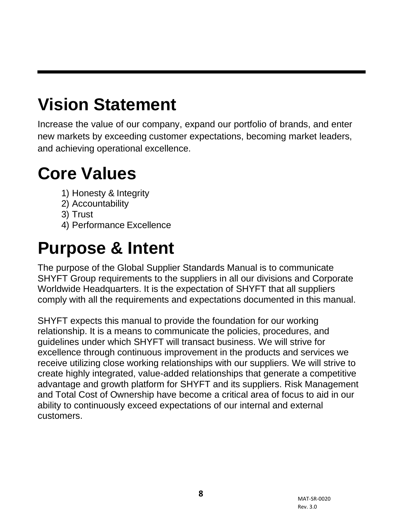## <span id="page-7-0"></span>**Vision Statement**

Increase the value of our company, expand our portfolio of brands, and enter new markets by exceeding customer expectations, becoming market leaders, and achieving operational excellence.

## <span id="page-7-1"></span>**Core Values**

- 1) Honesty & Integrity
- 2) Accountability
- 3) Trust
- 4) Performance Excellence

## <span id="page-7-2"></span>**Purpose & Intent**

The purpose of the Global Supplier Standards Manual is to communicate SHYFT Group requirements to the suppliers in all our divisions and Corporate Worldwide Headquarters. It is the expectation of SHYFT that all suppliers comply with all the requirements and expectations documented in this manual.

SHYFT expects this manual to provide the foundation for our working relationship. It is a means to communicate the policies, procedures, and guidelines under which SHYFT will transact business. We will strive for excellence through continuous improvement in the products and services we receive utilizing close working relationships with our suppliers. We will strive to create highly integrated, value-added relationships that generate a competitive advantage and growth platform for SHYFT and its suppliers. Risk Management and Total Cost of Ownership have become a critical area of focus to aid in our ability to continuously exceed expectations of our internal and external customers.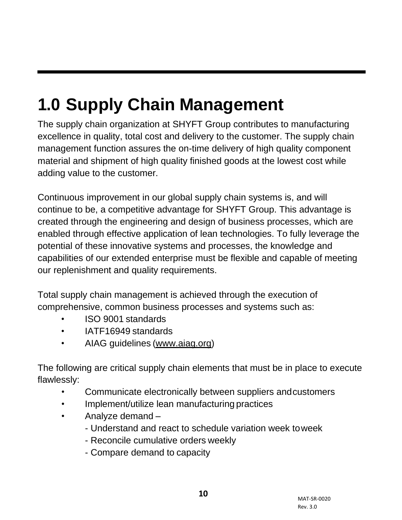# <span id="page-8-0"></span>**1.0 Supply Chain Management**

The supply chain organization at SHYFT Group contributes to manufacturing excellence in quality, total cost and delivery to the customer. The supply chain management function assures the on-time delivery of high quality component material and shipment of high quality finished goods at the lowest cost while adding value to the customer.

Continuous improvement in our global supply chain systems is, and will continue to be, a competitive advantage for SHYFT Group. This advantage is created through the engineering and design of business processes, which are enabled through effective application of lean technologies. To fully leverage the potential of these innovative systems and processes, the knowledge and capabilities of our extended enterprise must be flexible and capable of meeting our replenishment and quality requirements.

Total supply chain management is achieved through the execution of comprehensive, common business processes and systems such as:

- ISO 9001 standards
- IATF16949 standards
- AIAG guidelines (www.aiag.org)

The following are critical supply chain elements that must be in place to execute flawlessly:

- Communicate electronically between suppliers andcustomers
- Implement/utilize lean manufacturing practices
- Analyze demand
	- Understand and react to schedule variation week toweek
	- Reconcile cumulative orders weekly
	- Compare demand to capacity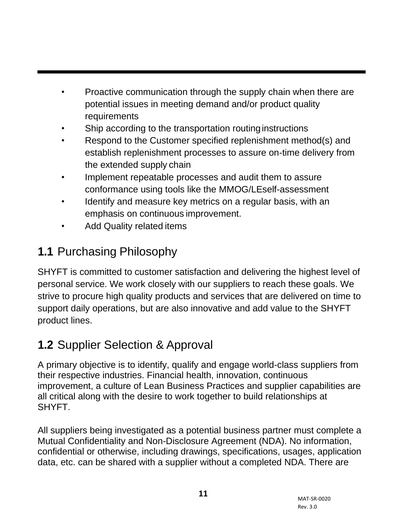- Proactive communication through the supply chain when there are potential issues in meeting demand and/or product quality requirements
- Ship according to the transportation routing instructions
- Respond to the Customer specified replenishment method(s) and establish replenishment processes to assure on-time delivery from the extended supply chain
- Implement repeatable processes and audit them to assure conformance using tools like the MMOG/LEself-assessment
- Identify and measure key metrics on a regular basis, with an emphasis on continuous improvement.
- Add Quality related items

## <span id="page-9-0"></span>**1.1** Purchasing Philosophy

SHYFT is committed to customer satisfaction and delivering the highest level of personal service. We work closely with our suppliers to reach these goals. We strive to procure high quality products and services that are delivered on time to support daily operations, but are also innovative and add value to the SHYFT product lines.

## <span id="page-9-1"></span>**1.2** Supplier Selection & Approval

A primary objective is to identify, qualify and engage world-class suppliers from their respective industries. Financial health, innovation, continuous improvement, a culture of Lean Business Practices and supplier capabilities are all critical along with the desire to work together to build relationships at SHYFT.

All suppliers being investigated as a potential business partner must complete a Mutual Confidentiality and Non-Disclosure Agreement (NDA). No information, confidential or otherwise, including drawings, specifications, usages, application data, etc. can be shared with a supplier without a completed NDA. There are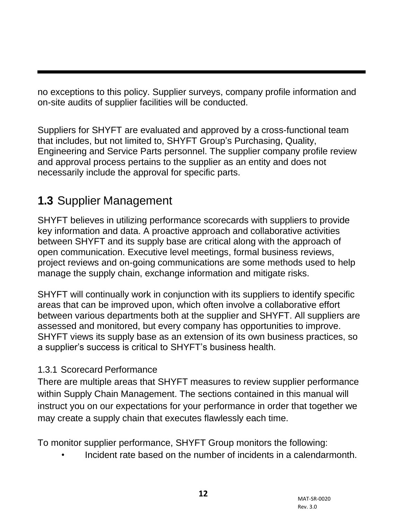no exceptions to this policy. Supplier surveys, company profile information and on-site audits of supplier facilities will be conducted.

Suppliers for SHYFT are evaluated and approved by a cross-functional team that includes, but not limited to, SHYFT Group's Purchasing, Quality, Engineering and Service Parts personnel. The supplier company profile review and approval process pertains to the supplier as an entity and does not necessarily include the approval for specific parts.

#### <span id="page-10-0"></span>**1.3** Supplier Management

SHYFT believes in utilizing performance scorecards with suppliers to provide key information and data. A proactive approach and collaborative activities between SHYFT and its supply base are critical along with the approach of open communication. Executive level meetings, formal business reviews, project reviews and on-going communications are some methods used to help manage the supply chain, exchange information and mitigate risks.

SHYFT will continually work in conjunction with its suppliers to identify specific areas that can be improved upon, which often involve a collaborative effort between various departments both at the supplier and SHYFT. All suppliers are assessed and monitored, but every company has opportunities to improve. SHYFT views its supply base as an extension of its own business practices, so a supplier's success is critical to SHYFT's business health.

#### 1.3.1 Scorecard Performance

There are multiple areas that SHYFT measures to review supplier performance within Supply Chain Management. The sections contained in this manual will instruct you on our expectations for your performance in order that together we may create a supply chain that executes flawlessly each time.

To monitor supplier performance, SHYFT Group monitors the following:

• Incident rate based on the number of incidents in a calendarmonth.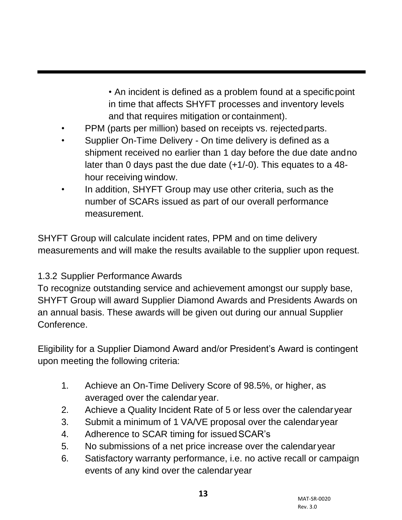• An incident is defined as a problem found at a specificpoint in time that affects SHYFT processes and inventory levels and that requires mitigation or containment).

- PPM (parts per million) based on receipts vs. rejected parts.
- Supplier On-Time Delivery On time delivery is defined as a shipment received no earlier than 1 day before the due date andno later than 0 days past the due date (+1/-0). This equates to a 48 hour receiving window.
- In addition, SHYFT Group may use other criteria, such as the number of SCARs issued as part of our overall performance measurement.

SHYFT Group will calculate incident rates, PPM and on time delivery measurements and will make the results available to the supplier upon request.

#### 1.3.2 Supplier Performance Awards

To recognize outstanding service and achievement amongst our supply base, SHYFT Group will award Supplier Diamond Awards and Presidents Awards on an annual basis. These awards will be given out during our annual Supplier Conference.

Eligibility for a Supplier Diamond Award and/or President's Award is contingent upon meeting the following criteria:

- 1. Achieve an On-Time Delivery Score of 98.5%, or higher, as averaged over the calendar year.
- 2. Achieve a Quality Incident Rate of 5 or less over the calendaryear
- 3. Submit a minimum of 1 VA/VE proposal over the calendaryear
- 4. Adherence to SCAR timing for issuedSCAR's
- 5. No submissions of a net price increase over the calendaryear
- 6. Satisfactory warranty performance, i.e. no active recall or campaign events of any kind over the calendar year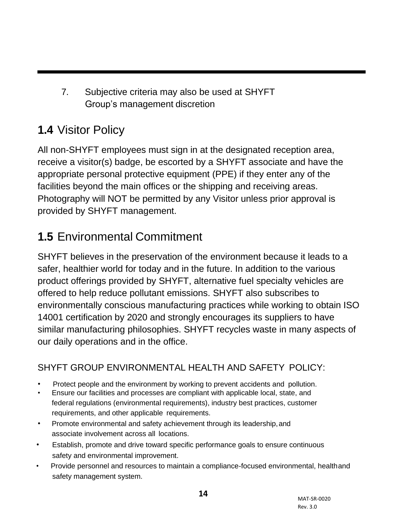7. Subjective criteria may also be used at SHYFT Group's management discretion

### <span id="page-12-0"></span>**1.4** Visitor Policy

All non-SHYFT employees must sign in at the designated reception area, receive a visitor(s) badge, be escorted by a SHYFT associate and have the appropriate personal protective equipment (PPE) if they enter any of the facilities beyond the main offices or the shipping and receiving areas. Photography will NOT be permitted by any Visitor unless prior approval is provided by SHYFT management.

### <span id="page-12-1"></span>**1.5** Environmental Commitment

SHYFT believes in the preservation of the environment because it leads to a safer, healthier world for today and in the future. In addition to the various product offerings provided by SHYFT, alternative fuel specialty vehicles are offered to help reduce pollutant emissions. SHYFT also subscribes to environmentally conscious manufacturing practices while working to obtain ISO 14001 certification by 2020 and strongly encourages its suppliers to have similar manufacturing philosophies. SHYFT recycles waste in many aspects of our daily operations and in the office.

#### <span id="page-12-2"></span>SHYFT GROUP ENVIRONMENTAL HEALTH AND SAFETY POLICY:

- Protect people and the environment by working to prevent accidents and pollution.
- Ensure our facilities and processes are compliant with applicable local, state, and federal regulations (environmental requirements), industry best practices, customer requirements, and other applicable requirements.
- Promote environmental and safety achievement through its leadership,and associate involvement across all locations.
- Establish, promote and drive toward specific performance goals to ensure continuous safety and environmental improvement.
- Provide personnel and resources to maintain a compliance-focused environmental, healthand safety management system.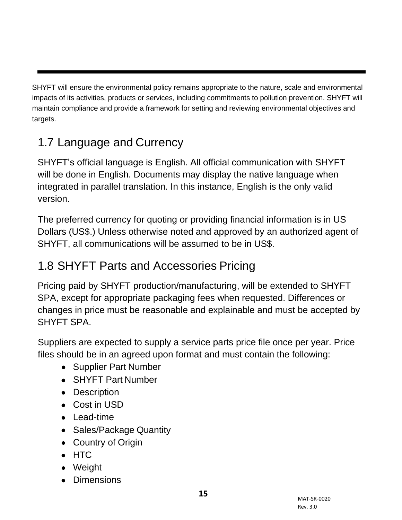SHYFT will ensure the environmental policy remains appropriate to the nature, scale and environmental impacts of its activities, products or services, including commitments to pollution prevention. SHYFT will maintain compliance and provide a framework for setting and reviewing environmental objectives and targets.

### <span id="page-13-0"></span>1.7 Language and Currency

SHYFT's official language is English. All official communication with SHYFT will be done in English. Documents may display the native language when integrated in parallel translation. In this instance, English is the only valid version.

The preferred currency for quoting or providing financial information is in US Dollars (US\$.) Unless otherwise noted and approved by an authorized agent of SHYFT, all communications will be assumed to be in US\$.

#### <span id="page-13-1"></span>1.8 SHYFT Parts and Accessories Pricing

Pricing paid by SHYFT production/manufacturing, will be extended to SHYFT SPA, except for appropriate packaging fees when requested. Differences or changes in price must be reasonable and explainable and must be accepted by SHYFT SPA.

Suppliers are expected to supply a service parts price file once per year. Price files should be in an agreed upon format and must contain the following:

- Supplier Part Number
- SHYFT Part Number
- Description
- Cost in USD
- Lead-time
- Sales/Package Quantity
- Country of Origin
- HTC
- Weight
- Dimensions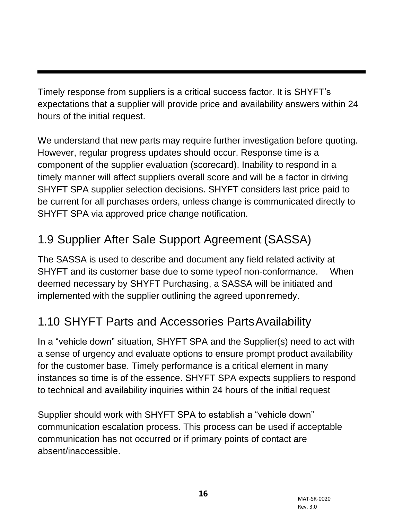Timely response from suppliers is a critical success factor. It is SHYFT's expectations that a supplier will provide price and availability answers within 24 hours of the initial request.

We understand that new parts may require further investigation before quoting. However, regular progress updates should occur. Response time is a component of the supplier evaluation (scorecard). Inability to respond in a timely manner will affect suppliers overall score and will be a factor in driving SHYFT SPA supplier selection decisions. SHYFT considers last price paid to be current for all purchases orders, unless change is communicated directly to SHYFT SPA via approved price change notification.

## <span id="page-14-0"></span>1.9 Supplier After Sale Support Agreement (SASSA)

The SASSA is used to describe and document any field related activity at SHYFT and its customer base due to some typeof non-conformance. When deemed necessary by SHYFT Purchasing, a SASSA will be initiated and implemented with the supplier outlining the agreed uponremedy.

### <span id="page-14-1"></span>1.10 SHYFT Parts and Accessories PartsAvailability

In a "vehicle down" situation, SHYFT SPA and the Supplier(s) need to act with a sense of urgency and evaluate options to ensure prompt product availability for the customer base. Timely performance is a critical element in many instances so time is of the essence. SHYFT SPA expects suppliers to respond to technical and availability inquiries within 24 hours of the initial request

Supplier should work with SHYFT SPA to establish a "vehicle down" communication escalation process. This process can be used if acceptable communication has not occurred or if primary points of contact are absent/inaccessible.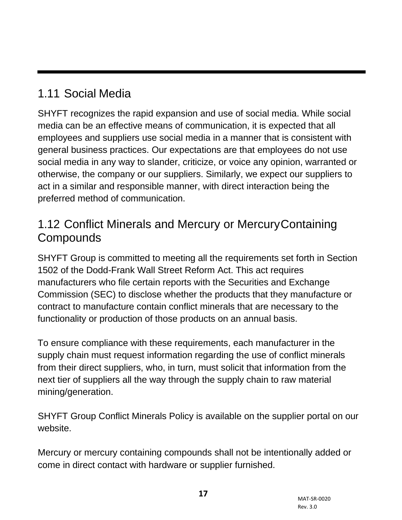#### <span id="page-15-0"></span>1.11 Social Media

SHYFT recognizes the rapid expansion and use of social media. While social media can be an effective means of communication, it is expected that all employees and suppliers use social media in a manner that is consistent with general business practices. Our expectations are that employees do not use social media in any way to slander, criticize, or voice any opinion, warranted or otherwise, the company or our suppliers. Similarly, we expect our suppliers to act in a similar and responsible manner, with direct interaction being the preferred method of communication.

#### <span id="page-15-1"></span>1.12 Conflict Minerals and Mercury or MercuryContaining **Compounds**

SHYFT Group is committed to meeting all the requirements set forth in Section 1502 of the Dodd-Frank Wall Street Reform Act. This act requires manufacturers who file certain reports with the Securities and Exchange Commission (SEC) to disclose whether the products that they manufacture or contract to manufacture contain conflict minerals that are necessary to the functionality or production of those products on an annual basis.

To ensure compliance with these requirements, each manufacturer in the supply chain must request information regarding the use of conflict minerals from their direct suppliers, who, in turn, must solicit that information from the next tier of suppliers all the way through the supply chain to raw material mining/generation.

SHYFT Group Conflict Minerals Policy is available on the supplier portal on our website.

Mercury or mercury containing compounds shall not be intentionally added or come in direct contact with hardware or supplier furnished.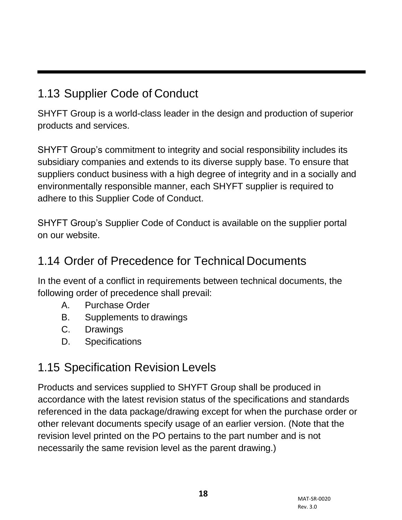#### <span id="page-16-0"></span>1.13 Supplier Code of Conduct

SHYFT Group is a world-class leader in the design and production of superior products and services.

SHYFT Group's commitment to integrity and social responsibility includes its subsidiary companies and extends to its diverse supply base. To ensure that suppliers conduct business with a high degree of integrity and in a socially and environmentally responsible manner, each SHYFT supplier is required to adhere to this Supplier Code of Conduct.

SHYFT Group's Supplier Code of Conduct is available on the supplier portal on our website.

#### <span id="page-16-1"></span>1.14 Order of Precedence for Technical Documents

In the event of a conflict in requirements between technical documents, the following order of precedence shall prevail:

- A. Purchase Order
- B. Supplements to drawings
- C. Drawings
- D. Specifications

#### 1.15 Specification Revision Levels

Products and services supplied to SHYFT Group shall be produced in accordance with the latest revision status of the specifications and standards referenced in the data package/drawing except for when the purchase order or other relevant documents specify usage of an earlier version. (Note that the revision level printed on the PO pertains to the part number and is not necessarily the same revision level as the parent drawing.)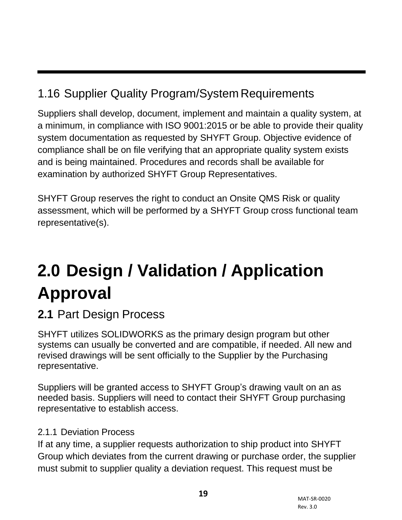### <span id="page-17-0"></span>1.16 Supplier Quality Program/System Requirements

Suppliers shall develop, document, implement and maintain a quality system, at a minimum, in compliance with ISO 9001:2015 or be able to provide their quality system documentation as requested by SHYFT Group. Objective evidence of compliance shall be on file verifying that an appropriate quality system exists and is being maintained. Procedures and records shall be available for examination by authorized SHYFT Group Representatives.

SHYFT Group reserves the right to conduct an Onsite QMS Risk or quality assessment, which will be performed by a SHYFT Group cross functional team representative(s).

# <span id="page-17-1"></span>**2.0 Design / Validation / Application Approval**

#### <span id="page-17-2"></span>**2.1** Part Design Process

SHYFT utilizes SOLIDWORKS as the primary design program but other systems can usually be converted and are compatible, if needed. All new and revised drawings will be sent officially to the Supplier by the Purchasing representative.

Suppliers will be granted access to SHYFT Group's drawing vault on an as needed basis. Suppliers will need to contact their SHYFT Group purchasing representative to establish access.

#### 2.1.1 Deviation Process

If at any time, a supplier requests authorization to ship product into SHYFT Group which deviates from the current drawing or purchase order, the supplier must submit to supplier quality a deviation request. This request must be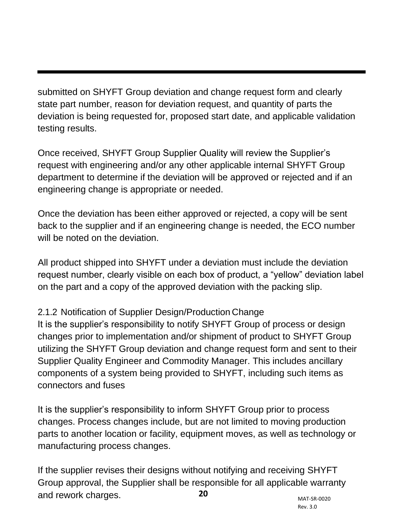submitted on SHYFT Group deviation and change request form and clearly state part number, reason for deviation request, and quantity of parts the deviation is being requested for, proposed start date, and applicable validation testing results.

Once received, SHYFT Group Supplier Quality will review the Supplier's request with engineering and/or any other applicable internal SHYFT Group department to determine if the deviation will be approved or rejected and if an engineering change is appropriate or needed.

Once the deviation has been either approved or rejected, a copy will be sent back to the supplier and if an engineering change is needed, the ECO number will be noted on the deviation.

All product shipped into SHYFT under a deviation must include the deviation request number, clearly visible on each box of product, a "yellow" deviation label on the part and a copy of the approved deviation with the packing slip.

#### 2.1.2 Notification of Supplier Design/Production Change

It is the supplier's responsibility to notify SHYFT Group of process or design changes prior to implementation and/or shipment of product to SHYFT Group utilizing the SHYFT Group deviation and change request form and sent to their Supplier Quality Engineer and Commodity Manager. This includes ancillary components of a system being provided to SHYFT, including such items as connectors and fuses

It is the supplier's responsibility to inform SHYFT Group prior to process changes. Process changes include, but are not limited to moving production parts to another location or facility, equipment moves, as well as technology or manufacturing process changes.

and rework charges. **20** If the supplier revises their designs without notifying and receiving SHYFT Group approval, the Supplier shall be responsible for all applicable warranty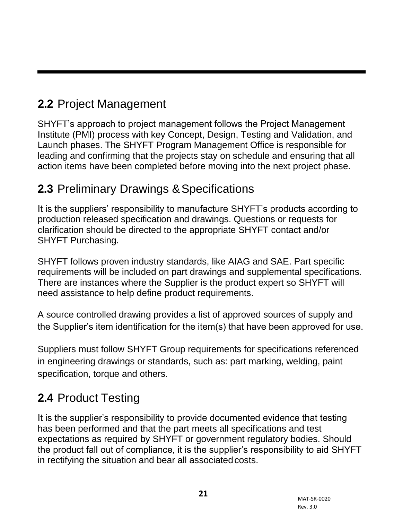### <span id="page-19-0"></span>**2.2** Project Management

SHYFT's approach to project management follows the Project Management Institute (PMI) process with key Concept, Design, Testing and Validation, and Launch phases. The SHYFT Program Management Office is responsible for leading and confirming that the projects stay on schedule and ensuring that all action items have been completed before moving into the next project phase.

#### <span id="page-19-1"></span>**2.3 Preliminary Drawings & Specifications**

It is the suppliers' responsibility to manufacture SHYFT's products according to production released specification and drawings. Questions or requests for clarification should be directed to the appropriate SHYFT contact and/or SHYFT Purchasing.

SHYFT follows proven industry standards, like AIAG and SAE. Part specific requirements will be included on part drawings and supplemental specifications. There are instances where the Supplier is the product expert so SHYFT will need assistance to help define product requirements.

A source controlled drawing provides a list of approved sources of supply and the Supplier's item identification for the item(s) that have been approved for use.

Suppliers must follow SHYFT Group requirements for specifications referenced in engineering drawings or standards, such as: part marking, welding, paint specification, torque and others.

#### <span id="page-19-2"></span>**2.4** Product Testing

It is the supplier's responsibility to provide documented evidence that testing has been performed and that the part meets all specifications and test expectations as required by SHYFT or government regulatory bodies. Should the product fall out of compliance, it is the supplier's responsibility to aid SHYFT in rectifying the situation and bear all associatedcosts.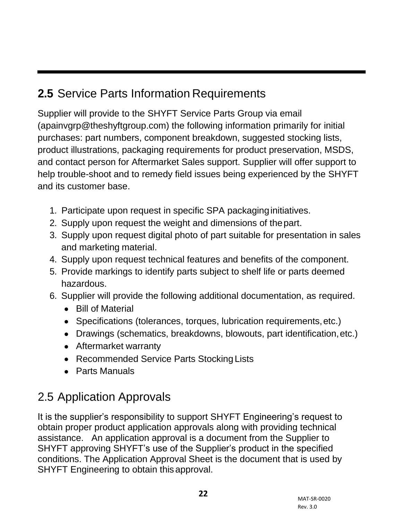### <span id="page-20-0"></span>**2.5** Service Parts Information Requirements

Supplier will provide to the SHYFT Service Parts Group via email (apainvgrp@theshyftgroup.com) the following information primarily for initial purchases: part numbers, component breakdown, suggested stocking lists, product illustrations, packaging requirements for product preservation, MSDS, and contact person for Aftermarket Sales support. Supplier will offer support to help trouble-shoot and to remedy field issues being experienced by the SHYFT and its customer base.

- 1. Participate upon request in specific SPA packaginginitiatives.
- 2. Supply upon request the weight and dimensions of thepart.
- 3. Supply upon request digital photo of part suitable for presentation in sales and marketing material.
- 4. Supply upon request technical features and benefits of the component.
- 5. Provide markings to identify parts subject to shelf life or parts deemed hazardous.
- 6. Supplier will provide the following additional documentation, as required.
	- Bill of Material
	- Specifications (tolerances, torques, lubrication requirements,etc.)
	- Drawings (schematics, breakdowns, blowouts, part identification,etc.)
	- Aftermarket warranty
	- Recommended Service Parts Stocking Lists
	- Parts Manuals

### <span id="page-20-1"></span>2.5 Application Approvals

It is the supplier's responsibility to support SHYFT Engineering's request to obtain proper product application approvals along with providing technical assistance. An application approval is a document from the Supplier to SHYFT approving SHYFT's use of the Supplier's product in the specified conditions. The Application Approval Sheet is the document that is used by SHYFT Engineering to obtain thisapproval.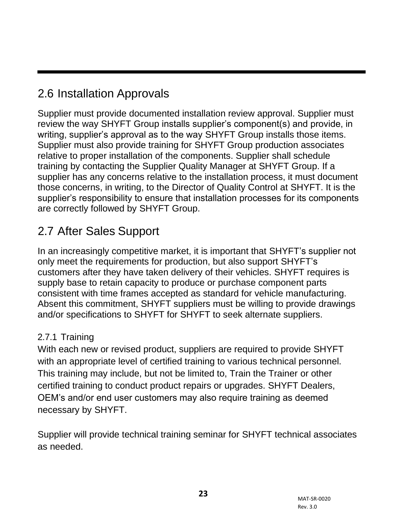#### <span id="page-21-0"></span>2.6 Installation Approvals

Supplier must provide documented installation review approval. Supplier must review the way SHYFT Group installs supplier's component(s) and provide, in writing, supplier's approval as to the way SHYFT Group installs those items. Supplier must also provide training for SHYFT Group production associates relative to proper installation of the components. Supplier shall schedule training by contacting the Supplier Quality Manager at SHYFT Group. If a supplier has any concerns relative to the installation process, it must document those concerns, in writing, to the Director of Quality Control at SHYFT. It is the supplier's responsibility to ensure that installation processes for its components are correctly followed by SHYFT Group.

### <span id="page-21-1"></span>2.7 After Sales Support

In an increasingly competitive market, it is important that SHYFT's supplier not only meet the requirements for production, but also support SHYFT's customers after they have taken delivery of their vehicles. SHYFT requires is supply base to retain capacity to produce or purchase component parts consistent with time frames accepted as standard for vehicle manufacturing. Absent this commitment, SHYFT suppliers must be willing to provide drawings and/or specifications to SHYFT for SHYFT to seek alternate suppliers.

#### 2.7.1 Training

With each new or revised product, suppliers are required to provide SHYFT with an appropriate level of certified training to various technical personnel. This training may include, but not be limited to, Train the Trainer or other certified training to conduct product repairs or upgrades. SHYFT Dealers, OEM's and/or end user customers may also require training as deemed necessary by SHYFT.

Supplier will provide technical training seminar for SHYFT technical associates as needed.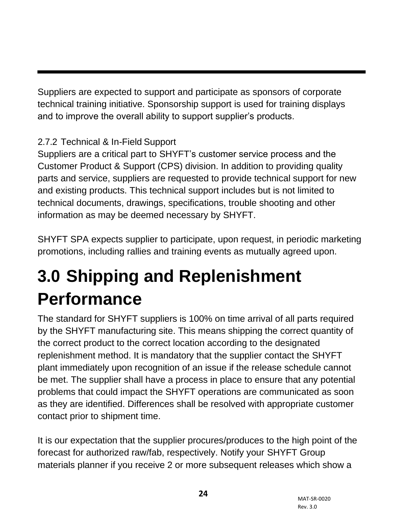Suppliers are expected to support and participate as sponsors of corporate technical training initiative. Sponsorship support is used for training displays and to improve the overall ability to support supplier's products.

#### 2.7.2 Technical & In-Field Support

Suppliers are a critical part to SHYFT's customer service process and the Customer Product & Support (CPS) division. In addition to providing quality parts and service, suppliers are requested to provide technical support for new and existing products. This technical support includes but is not limited to technical documents, drawings, specifications, trouble shooting and other information as may be deemed necessary by SHYFT.

SHYFT SPA expects supplier to participate, upon request, in periodic marketing promotions, including rallies and training events as mutually agreed upon.

## <span id="page-22-0"></span>**3.0 Shipping and Replenishment Performance**

The standard for SHYFT suppliers is 100% on time arrival of all parts required by the SHYFT manufacturing site. This means shipping the correct quantity of the correct product to the correct location according to the designated replenishment method. It is mandatory that the supplier contact the SHYFT plant immediately upon recognition of an issue if the release schedule cannot be met. The supplier shall have a process in place to ensure that any potential problems that could impact the SHYFT operations are communicated as soon as they are identified. Differences shall be resolved with appropriate customer contact prior to shipment time.

It is our expectation that the supplier procures/produces to the high point of the forecast for authorized raw/fab, respectively. Notify your SHYFT Group materials planner if you receive 2 or more subsequent releases which show a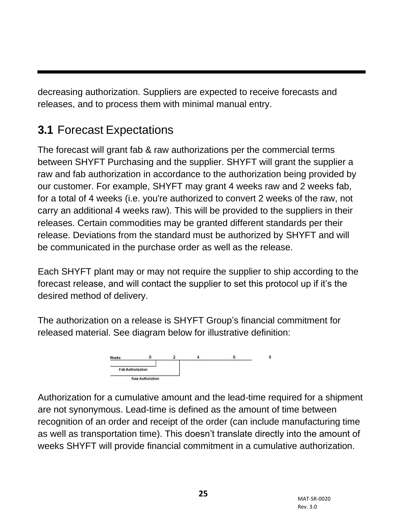decreasing authorization. Suppliers are expected to receive forecasts and releases, and to process them with minimal manual entry.

### <span id="page-23-0"></span>**3.1** Forecast Expectations

The forecast will grant fab & raw authorizations per the commercial terms between SHYFT Purchasing and the supplier. SHYFT will grant the supplier a raw and fab authorization in accordance to the authorization being provided by our customer. For example, SHYFT may grant 4 weeks raw and 2 weeks fab, for a total of 4 weeks (i.e. you're authorized to convert 2 weeks of the raw, not carry an additional 4 weeks raw). This will be provided to the suppliers in their releases. Certain commodities may be granted different standards per their release. Deviations from the standard must be authorized by SHYFT and will be communicated in the purchase order as well as the release.

Each SHYFT plant may or may not require the supplier to ship according to the forecast release, and will contact the supplier to set this protocol up if it's the desired method of delivery.

The authorization on a release is SHYFT Group's financial commitment for released material. See diagram below for illustrative definition:



Authorization for a cumulative amount and the lead-time required for a shipment are not synonymous. Lead-time is defined as the amount of time between recognition of an order and receipt of the order (can include manufacturing time as well as transportation time). This doesn't translate directly into the amount of weeks SHYFT will provide financial commitment in a cumulative authorization.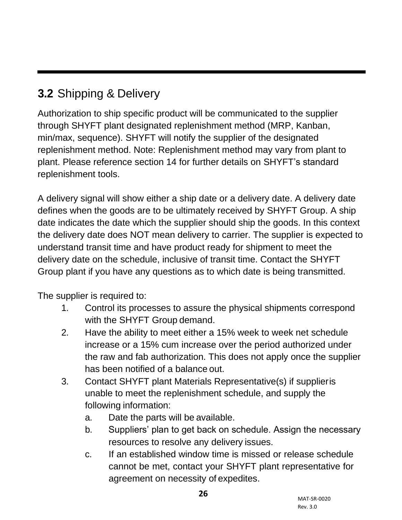### <span id="page-24-0"></span>**3.2** Shipping & Delivery

Authorization to ship specific product will be communicated to the supplier through SHYFT plant designated replenishment method (MRP, Kanban, min/max, sequence). SHYFT will notify the supplier of the designated replenishment method. Note: Replenishment method may vary from plant to plant. Please reference section 14 for further details on SHYFT's standard replenishment tools.

A delivery signal will show either a ship date or a delivery date. A delivery date defines when the goods are to be ultimately received by SHYFT Group. A ship date indicates the date which the supplier should ship the goods. In this context the delivery date does NOT mean delivery to carrier. The supplier is expected to understand transit time and have product ready for shipment to meet the delivery date on the schedule, inclusive of transit time. Contact the SHYFT Group plant if you have any questions as to which date is being transmitted.

The supplier is required to:

- 1. Control its processes to assure the physical shipments correspond with the SHYFT Group demand.
- 2. Have the ability to meet either a 15% week to week net schedule increase or a 15% cum increase over the period authorized under the raw and fab authorization. This does not apply once the supplier has been notified of a balance out.
- 3. Contact SHYFT plant Materials Representative(s) if supplieris unable to meet the replenishment schedule, and supply the following information:
	- a. Date the parts will be available.
	- b. Suppliers' plan to get back on schedule. Assign the necessary resources to resolve any delivery issues.
	- c. If an established window time is missed or release schedule cannot be met, contact your SHYFT plant representative for agreement on necessity of expedites.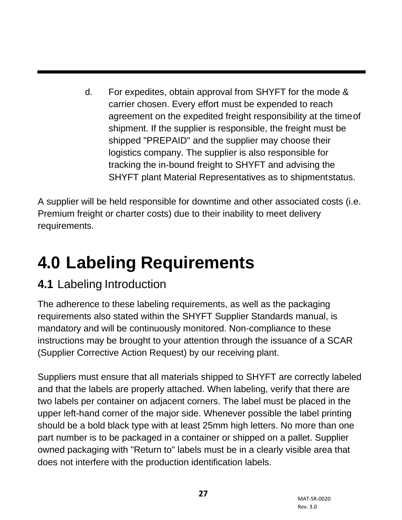d. For expedites, obtain approval from SHYFT for the mode & carrier chosen. Every effort must be expended to reach agreement on the expedited freight responsibility at the timeof shipment. If the supplier is responsible, the freight must be shipped "PREPAID" and the supplier may choose their logistics company. The supplier is also responsible for tracking the in-bound freight to SHYFT and advising the SHYFT plant Material Representatives as to shipmentstatus.

A supplier will be held responsible for downtime and other associated costs (i.e. Premium freight or charter costs) due to their inability to meet delivery requirements.

## <span id="page-25-0"></span>**4.0 Labeling Requirements**

### **4.1** Labeling Introduction

The adherence to these labeling requirements, as well as the packaging requirements also stated within the SHYFT Supplier Standards manual, is mandatory and will be continuously monitored. Non-compliance to these instructions may be brought to your attention through the issuance of a SCAR (Supplier Corrective Action Request) by our receiving plant.

Suppliers must ensure that all materials shipped to SHYFT are correctly labeled and that the labels are properly attached. When labeling, verify that there are two labels per container on adjacent corners. The label must be placed in the upper left-hand corner of the major side. Whenever possible the label printing should be a bold black type with at least 25mm high letters. No more than one part number is to be packaged in a container or shipped on a pallet. Supplier owned packaging with "Return to" labels must be in a clearly visible area that does not interfere with the production identification labels.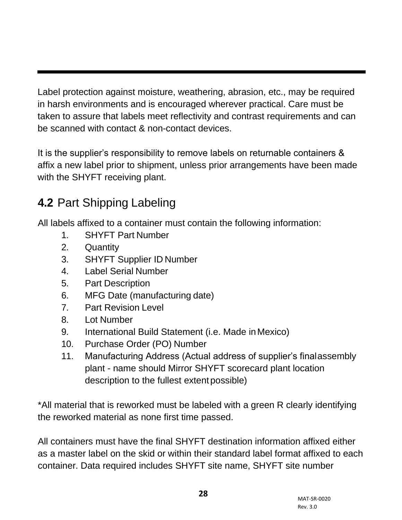Label protection against moisture, weathering, abrasion, etc., may be required in harsh environments and is encouraged wherever practical. Care must be taken to assure that labels meet reflectivity and contrast requirements and can be scanned with contact & non-contact devices.

It is the supplier's responsibility to remove labels on returnable containers & affix a new label prior to shipment, unless prior arrangements have been made with the SHYFT receiving plant.

### <span id="page-26-0"></span>**4.2** Part Shipping Labeling

All labels affixed to a container must contain the following information:

- 1. SHYFT Part Number
- 2. Quantity
- 3. SHYFT Supplier ID Number
- 4. Label Serial Number
- 5. Part Description
- 6. MFG Date (manufacturing date)
- 7. Part Revision Level
- 8. Lot Number
- 9. International Build Statement (i.e. Made inMexico)
- 10. Purchase Order (PO) Number
- 11. Manufacturing Address (Actual address of supplier's finalassembly plant - name should Mirror SHYFT scorecard plant location description to the fullest extent possible)

\*All material that is reworked must be labeled with a green R clearly identifying the reworked material as none first time passed.

All containers must have the final SHYFT destination information affixed either as a master label on the skid or within their standard label format affixed to each container. Data required includes SHYFT site name, SHYFT site number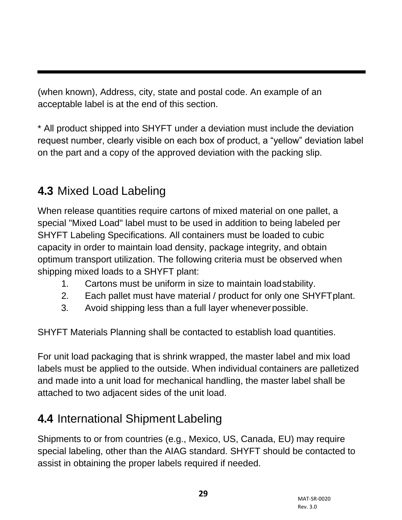(when known), Address, city, state and postal code. An example of an acceptable label is at the end of this section.

\* All product shipped into SHYFT under a deviation must include the deviation request number, clearly visible on each box of product, a "yellow" deviation label on the part and a copy of the approved deviation with the packing slip.

#### <span id="page-27-0"></span>**4.3** Mixed Load Labeling

When release quantities require cartons of mixed material on one pallet, a special "Mixed Load" label must to be used in addition to being labeled per SHYFT Labeling Specifications. All containers must be loaded to cubic capacity in order to maintain load density, package integrity, and obtain optimum transport utilization. The following criteria must be observed when shipping mixed loads to a SHYFT plant:

- 1. Cartons must be uniform in size to maintain loadstability.
- 2. Each pallet must have material / product for only one SHYFTplant.
- 3. Avoid shipping less than a full layer wheneverpossible.

SHYFT Materials Planning shall be contacted to establish load quantities.

For unit load packaging that is shrink wrapped, the master label and mix load labels must be applied to the outside. When individual containers are palletized and made into a unit load for mechanical handling, the master label shall be attached to two adjacent sides of the unit load.

## <span id="page-27-1"></span>**4.4** International Shipment Labeling

Shipments to or from countries (e.g., Mexico, US, Canada, EU) may require special labeling, other than the AIAG standard. SHYFT should be contacted to assist in obtaining the proper labels required if needed.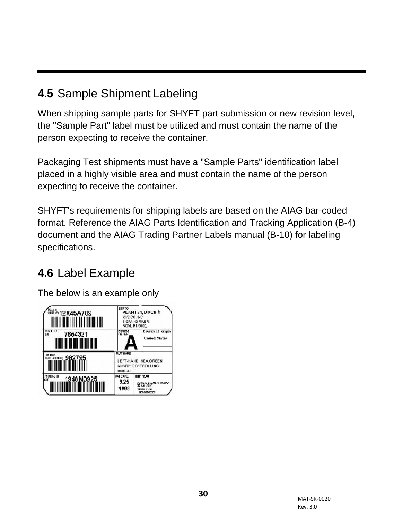### <span id="page-28-0"></span>**4.5** Sample Shipment Labeling

When shipping sample parts for SHYFT part submission or new revision level, the "Sample Part" label must be utilized and must contain the name of the person expecting to receive the container.

Packaging Test shipments must have a "Sample Parts" identification label placed in a highly visible area and must contain the name of the person expecting to receive the container.

SHYFT's requirements for shipping labels are based on the AIAG bar-coded format. Reference the AIAG Parts Identification and Tracking Application (B-4) document and the AIAG Trading Partner Labels manual (B-10) for labeling specifications.

#### <span id="page-28-1"></span>**4.6** Label Example

The below is an example only

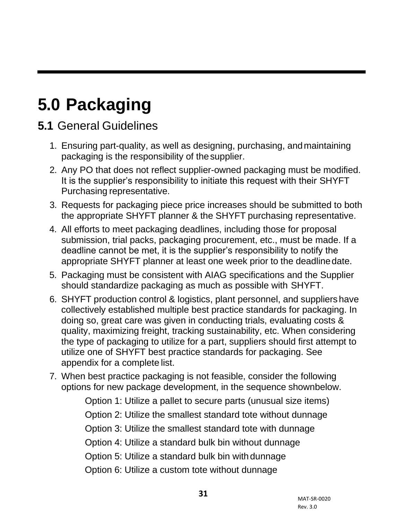## <span id="page-29-0"></span>**5.0 Packaging**

#### **5.1** General Guidelines

- 1. Ensuring part-quality, as well as designing, purchasing, andmaintaining packaging is the responsibility of thesupplier.
- 2. Any PO that does not reflect supplier-owned packaging must be modified. It is the supplier's responsibility to initiate this request with their SHYFT Purchasing representative.
- 3. Requests for packaging piece price increases should be submitted to both the appropriate SHYFT planner & the SHYFT purchasing representative.
- 4. All efforts to meet packaging deadlines, including those for proposal submission, trial packs, packaging procurement, etc., must be made. If a deadline cannot be met, it is the supplier's responsibility to notify the appropriate SHYFT planner at least one week prior to the deadlinedate.
- 5. Packaging must be consistent with AIAG specifications and the Supplier should standardize packaging as much as possible with SHYFT.
- 6. SHYFT production control & logistics, plant personnel, and suppliers have collectively established multiple best practice standards for packaging. In doing so, great care was given in conducting trials, evaluating costs & quality, maximizing freight, tracking sustainability, etc. When considering the type of packaging to utilize for a part, suppliers should first attempt to utilize one of SHYFT best practice standards for packaging. See appendix for a complete list.
- 7. When best practice packaging is not feasible, consider the following options for new package development, in the sequence shownbelow.

Option 1: Utilize a pallet to secure parts (unusual size items)

Option 2: Utilize the smallest standard tote without dunnage

Option 3: Utilize the smallest standard tote with dunnage

Option 4: Utilize a standard bulk bin without dunnage

Option 5: Utilize a standard bulk bin with dunnage

Option 6: Utilize a custom tote without dunnage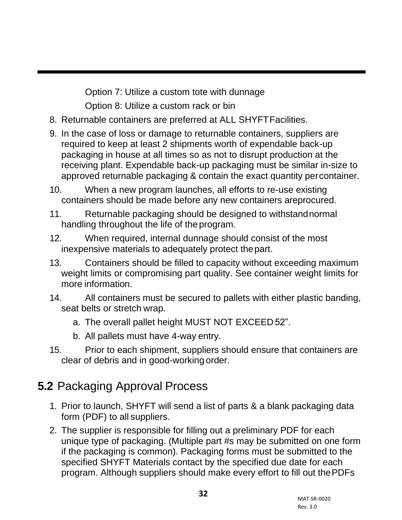Option 7: Utilize a custom tote with dunnage Option 8: Utilize a custom rack or bin

- 8. Returnable containers are preferred at ALL SHYFTFacilities.
- 9. In the case of loss or damage to returnable containers, suppliers are required to keep at least 2 shipments worth of expendable back-up packaging in house at all times so as not to disrupt production at the receiving plant. Expendable back-up packaging must be similar in-size to approved returnable packaging & contain the exact quantity percontainer.
- 10. When a new program launches, all efforts to re-use existing containers should be made before any new containers areprocured.
- 11. Returnable packaging should be designed to withstandnormal handling throughout the life of the program.
- 12. When required, internal dunnage should consist of the most inexpensive materials to adequately protect thepart.
- 13. Containers should be filled to capacity without exceeding maximum weight limits or compromising part quality. See container weight limits for more information.
- 14. All containers must be secured to pallets with either plastic banding, seat belts or stretch wrap.
	- a. The overall pallet height MUST NOT EXCEED 52".
	- b. All pallets must have 4-way entry.
- 15. Prior to each shipment, suppliers should ensure that containers are clear of debris and in good-working order.

#### <span id="page-30-0"></span>**5.2** Packaging Approval Process

- 1. Prior to launch, SHYFT will send a list of parts & a blank packaging data form (PDF) to all suppliers.
- 2. The supplier is responsible for filling out a preliminary PDF for each unique type of packaging. (Multiple part #s may be submitted on one form if the packaging is common). Packaging forms must be submitted to the specified SHYFT Materials contact by the specified due date for each program. Although suppliers should make every effort to fill out thePDFs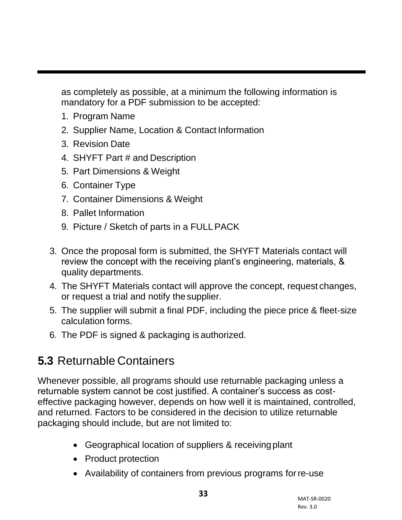as completely as possible, at a minimum the following information is mandatory for a PDF submission to be accepted:

- 1. Program Name
- 2. Supplier Name, Location & Contact Information
- 3. Revision Date
- 4. SHYFT Part # and Description
- 5. Part Dimensions & Weight
- 6. Container Type
- 7. Container Dimensions & Weight
- 8. Pallet Information
- 9. Picture / Sketch of parts in a FULLPACK
- 3. Once the proposal form is submitted, the SHYFT Materials contact will review the concept with the receiving plant's engineering, materials, & quality departments.
- 4. The SHYFT Materials contact will approve the concept, request changes, or request a trial and notify the supplier.
- 5. The supplier will submit a final PDF, including the piece price & fleet-size calculation forms.
- 6. The PDF is signed & packaging is authorized.

#### <span id="page-31-0"></span>**5.3** Returnable Containers

Whenever possible, all programs should use returnable packaging unless a returnable system cannot be cost justified. A container's success as costeffective packaging however, depends on how well it is maintained, controlled, and returned. Factors to be considered in the decision to utilize returnable packaging should include, but are not limited to:

- Geographical location of suppliers & receivingplant
- Product protection
- Availability of containers from previous programs for re-use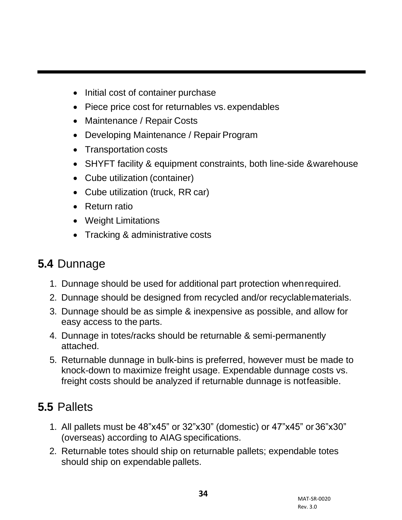- Initial cost of container purchase
- Piece price cost for returnables vs. expendables
- Maintenance / Repair Costs
- Developing Maintenance / Repair Program
- Transportation costs
- SHYFT facility & equipment constraints, both line-side &warehouse
- Cube utilization (container)
- Cube utilization (truck, RR car)
- Return ratio
- Weight Limitations
- Tracking & administrative costs

#### <span id="page-32-0"></span>**5.4** Dunnage

- 1. Dunnage should be used for additional part protection whenrequired.
- 2. Dunnage should be designed from recycled and/or recyclablematerials.
- 3. Dunnage should be as simple & inexpensive as possible, and allow for easy access to the parts.
- 4. Dunnage in totes/racks should be returnable & semi-permanently attached.
- 5. Returnable dunnage in bulk-bins is preferred, however must be made to knock-down to maximize freight usage. Expendable dunnage costs vs. freight costs should be analyzed if returnable dunnage is notfeasible.

#### <span id="page-32-1"></span>**5.5** Pallets

- 1. All pallets must be 48"x45" or 32"x30" (domestic) or 47"x45" or 36"x30" (overseas) according to AIAG specifications.
- 2. Returnable totes should ship on returnable pallets; expendable totes should ship on expendable pallets.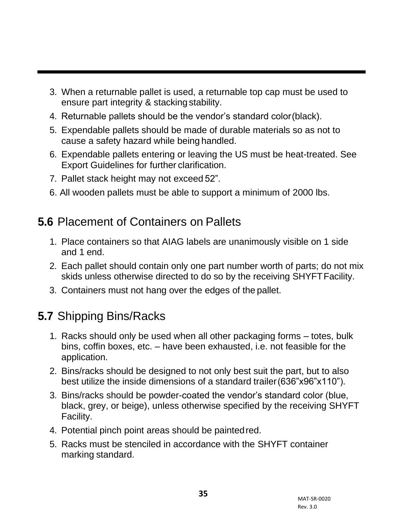- 3. When a returnable pallet is used, a returnable top cap must be used to ensure part integrity & stacking stability.
- 4. Returnable pallets should be the vendor's standard color(black).
- 5. Expendable pallets should be made of durable materials so as not to cause a safety hazard while being handled.
- 6. Expendable pallets entering or leaving the US must be heat-treated. See Export Guidelines for further clarification.
- 7. Pallet stack height may not exceed 52".
- 6. All wooden pallets must be able to support a minimum of 2000 lbs.

#### <span id="page-33-0"></span>**5.6** Placement of Containers on Pallets

- 1. Place containers so that AIAG labels are unanimously visible on 1 side and 1 end.
- 2. Each pallet should contain only one part number worth of parts; do not mix skids unless otherwise directed to do so by the receiving SHYFT Facility.
- 3. Containers must not hang over the edges of the pallet.

#### <span id="page-33-1"></span>**5.7** Shipping Bins/Racks

- 1. Racks should only be used when all other packaging forms totes, bulk bins, coffin boxes, etc. – have been exhausted, i.e. not feasible for the application.
- 2. Bins/racks should be designed to not only best suit the part, but to also best utilize the inside dimensions of a standard trailer(636"x96"x110").
- 3. Bins/racks should be powder-coated the vendor's standard color (blue, black, grey, or beige), unless otherwise specified by the receiving SHYFT Facility.
- 4. Potential pinch point areas should be paintedred.
- 5. Racks must be stenciled in accordance with the SHYFT container marking standard.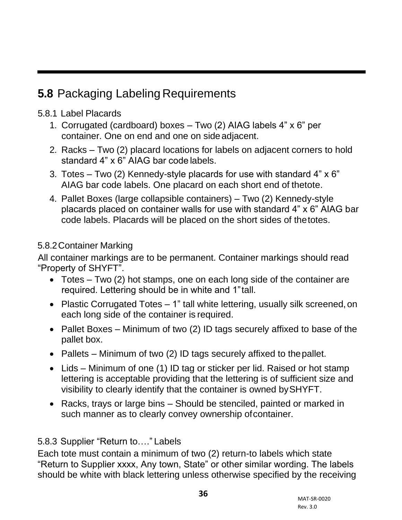#### <span id="page-34-0"></span>**5.8** Packaging Labeling Requirements

#### 5.8.1 Label Placards

- 1. Corrugated (cardboard) boxes Two (2) AIAG labels 4" x 6" per container. One on end and one on sideadjacent.
- 2. Racks Two (2) placard locations for labels on adjacent corners to hold standard 4" x 6" AIAG bar code labels.
- 3. Totes Two (2) Kennedy-style placards for use with standard 4" x 6" AIAG bar code labels. One placard on each short end of thetote.
- 4. Pallet Boxes (large collapsible containers) Two (2) Kennedy-style placards placed on container walls for use with standard 4" x 6" AIAG bar code labels. Placards will be placed on the short sides of thetotes.

#### 5.8.2Container Marking

All container markings are to be permanent. Container markings should read "Property of SHYFT".

- Totes Two (2) hot stamps, one on each long side of the container are required. Lettering should be in white and 1"tall.
- Plastic Corrugated Totes 1" tall white lettering, usually silk screened, on each long side of the container is required.
- Pallet Boxes Minimum of two (2) ID tags securely affixed to base of the pallet box.
- Pallets Minimum of two (2) ID tags securely affixed to the pallet.
- Lids Minimum of one (1) ID tag or sticker per lid. Raised or hot stamp lettering is acceptable providing that the lettering is of sufficient size and visibility to clearly identify that the container is owned bySHYFT.
- Racks, trays or large bins Should be stenciled, painted or marked in such manner as to clearly convey ownership of container.

#### 5.8.3 Supplier "Return to…." Labels

Each tote must contain a minimum of two (2) return-to labels which state "Return to Supplier xxxx, Any town, State" or other similar wording. The labels should be white with black lettering unless otherwise specified by the receiving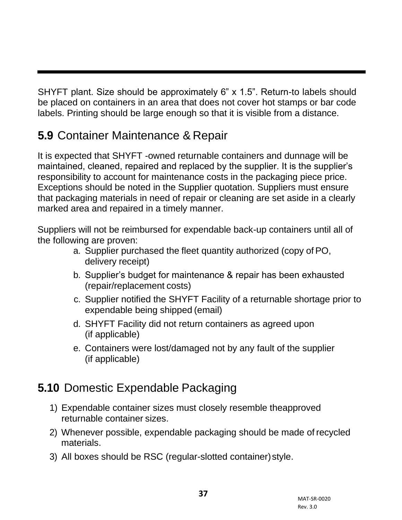SHYFT plant. Size should be approximately 6" x 1.5". Return-to labels should be placed on containers in an area that does not cover hot stamps or bar code labels. Printing should be large enough so that it is visible from a distance.

#### <span id="page-35-0"></span>**5.9** Container Maintenance & Repair

It is expected that SHYFT -owned returnable containers and dunnage will be maintained, cleaned, repaired and replaced by the supplier. It is the supplier's responsibility to account for maintenance costs in the packaging piece price. Exceptions should be noted in the Supplier quotation. Suppliers must ensure that packaging materials in need of repair or cleaning are set aside in a clearly marked area and repaired in a timely manner.

Suppliers will not be reimbursed for expendable back-up containers until all of the following are proven:

- a. Supplier purchased the fleet quantity authorized (copy of PO, delivery receipt)
- b. Supplier's budget for maintenance & repair has been exhausted (repair/replacement costs)
- c. Supplier notified the SHYFT Facility of a returnable shortage prior to expendable being shipped (email)
- d. SHYFT Facility did not return containers as agreed upon (if applicable)
- e. Containers were lost/damaged not by any fault of the supplier (if applicable)

#### <span id="page-35-1"></span>**5.10** Domestic Expendable Packaging

- 1) Expendable container sizes must closely resemble theapproved returnable container sizes.
- 2) Whenever possible, expendable packaging should be made of recycled materials.
- 3) All boxes should be RSC (regular-slotted container)style.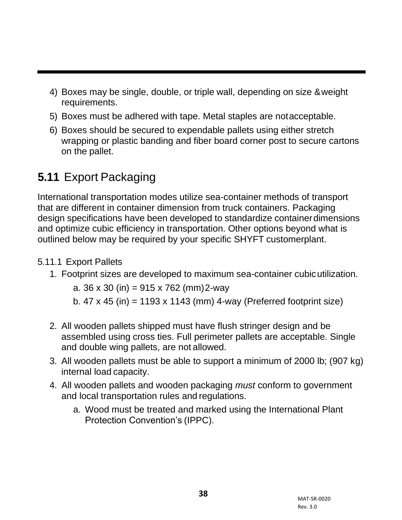- 4) Boxes may be single, double, or triple wall, depending on size &weight requirements.
- 5) Boxes must be adhered with tape. Metal staples are notacceptable.
- 6) Boxes should be secured to expendable pallets using either stretch wrapping or plastic banding and fiber board corner post to secure cartons on the pallet.

## **5.11** Export Packaging

International transportation modes utilize sea-container methods of transport that are different in container dimension from truck containers. Packaging design specifications have been developed to standardize containerdimensions and optimize cubic efficiency in transportation. Other options beyond what is outlined below may be required by your specific SHYFT customerplant.

#### 5.11.1 Export Pallets

1. Footprint sizes are developed to maximum sea-container cubicutilization.

a. 36 x 30 (in) = 915 x 762 (mm)2-way

- b.  $47 \times 45$  (in) = 1193 x 1143 (mm) 4-way (Preferred footprint size)
- 2. All wooden pallets shipped must have flush stringer design and be assembled using cross ties. Full perimeter pallets are acceptable. Single and double wing pallets, are not allowed.
- 3. All wooden pallets must be able to support a minimum of 2000 lb; (907 kg) internal load capacity.
- 4. All wooden pallets and wooden packaging *must* conform to government and local transportation rules and regulations.
	- a. Wood must be treated and marked using the International Plant Protection Convention's (IPPC).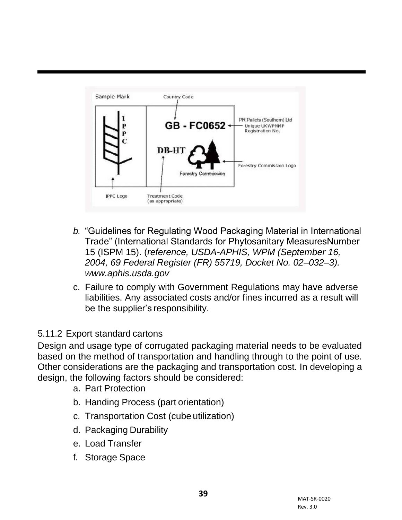

- *b.* "Guidelines for Regulating Wood Packaging Material in International Trade" (International Standards for Phytosanitary MeasuresNumber 15 (ISPM 15). (*reference, USDA-APHIS, WPM (September 16, 2004, 69 Federal Register (FR) 55719, Docket No. 02–032–3)[.](http://www.aphis.usda.gov/) [www.aphis.usda.gov](http://www.aphis.usda.gov/)*
- c. Failure to comply with Government Regulations may have adverse liabilities. Any associated costs and/or fines incurred as a result will be the supplier's responsibility.

#### 5.11.2 Export standard cartons

Design and usage type of corrugated packaging material needs to be evaluated based on the method of transportation and handling through to the point of use. Other considerations are the packaging and transportation cost. In developing a design, the following factors should be considered:

- a. Part Protection
- b. Handing Process (part orientation)
- c. Transportation Cost (cube utilization)
- d. Packaging Durability
- e. Load Transfer
- f. Storage Space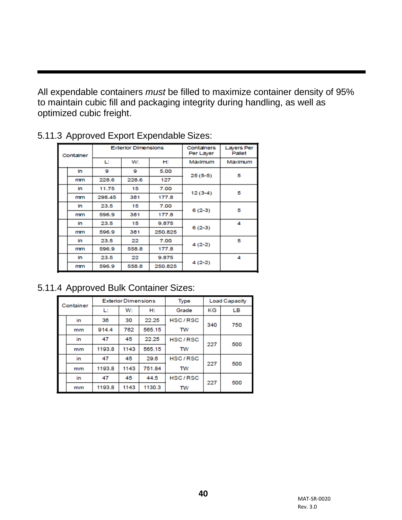All expendable containers *must* be filled to maximize container density of 95% to maintain cubic fill and packaging integrity during handling, as well as optimized cubic freight.

| Container |    | <b>Exterior Dimensions</b> |       | Containers<br>Per Layer | Layers Per<br>Pallet |         |
|-----------|----|----------------------------|-------|-------------------------|----------------------|---------|
|           |    | L.                         | W:    | H.                      | Maximum              | Maximum |
|           | In | 9                          | 9     | 5.00                    | $25(5-5)$            | 5       |
|           | mm | 228.6                      | 228.6 | 127                     |                      |         |
|           | In | 11.75                      | 15    | 7.00                    |                      | 5       |
|           | mm | 298.45                     | 381   | 177.8                   | $12(3-4)$            |         |
|           | In | 23.5                       | 15    | 7.00                    | $6(2-3)$             | 5       |
|           | mm | 596.9                      | 381   | 177.8                   |                      |         |
|           | In | 23.5                       | 15    | 9.875                   | $6(2-3)$             | 4       |
|           | mm | 596.9                      | 381   | 250.825                 |                      |         |
|           | In | 23.5                       | 22    | 7.00                    | $4(2-2)$             | 5       |
|           | mm | 596.9                      | 558.8 | 177.8                   |                      |         |
|           | In | 23.5                       | 22    | 9.875                   | $4(2-2)$             | 4       |
|           | mm | 596.9                      | 558.8 | 250.825                 |                      |         |

#### 5.11.3 Approved Export Expendable Sizes:

#### 5.11.4 Approved Bulk Container Sizes:

| Container |    | <b>Exterior Dimensions</b> |      |        | Type      | <b>Load Capacity</b> |     |
|-----------|----|----------------------------|------|--------|-----------|----------------------|-----|
|           |    | L:                         | W:   | H:     | Grade     | ΚG                   | LВ  |
|           | in | 36                         | 30   | 22.25  | HSC/RSC   | 340                  | 750 |
|           | mm | 914.4                      | 762  | 565.15 | TW        |                      |     |
|           | in | 47                         | 45   | 22.25  | HSC/RSC   | 227                  | 500 |
|           | mm | 1193.8                     | 1143 | 565.15 | <b>TW</b> |                      |     |
|           | in | 47                         | 45   | 29.6   | HSC/RSC   | 227                  | 500 |
|           | mm | 1193.8                     | 1143 | 751.84 | <b>TW</b> |                      |     |
|           | in | 47                         | 45   | 44.5   | HSC/RSC   | 227                  | 500 |
|           | mm | 1193.8                     | 1143 | 1130.3 | <b>TW</b> |                      |     |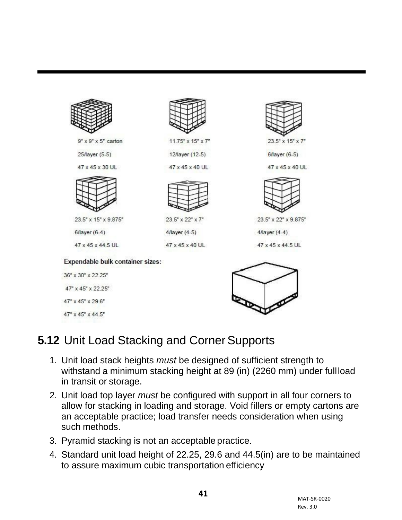

## **5.12** Unit Load Stacking and Corner Supports

- 1. Unit load stack heights *must* be designed of sufficient strength to withstand a minimum stacking height at 89 (in) (2260 mm) under fullload in transit or storage.
- 2. Unit load top layer *must* be configured with support in all four corners to allow for stacking in loading and storage. Void fillers or empty cartons are an acceptable practice; load transfer needs consideration when using such methods.
- 3. Pyramid stacking is not an acceptable practice.
- 4. Standard unit load height of 22.25, 29.6 and 44.5(in) are to be maintained to assure maximum cubic transportation efficiency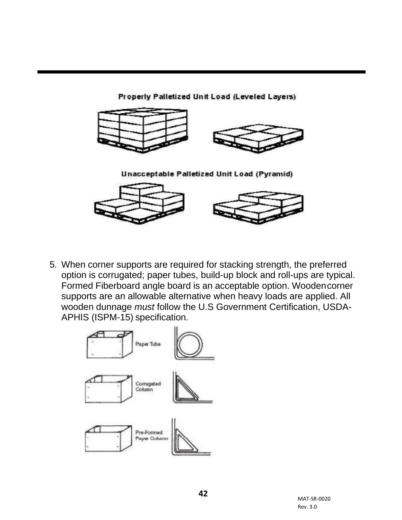

5. When corner supports are required for stacking strength, the preferred option is corrugated; paper tubes, build-up block and roll-ups are typical. Formed Fiberboard angle board is an acceptable option. Woodencorner supports are an allowable alternative when heavy loads are applied. All wooden dunnage *must* follow the U.S Government Certification, USDA-APHIS (ISPM-15) specification.

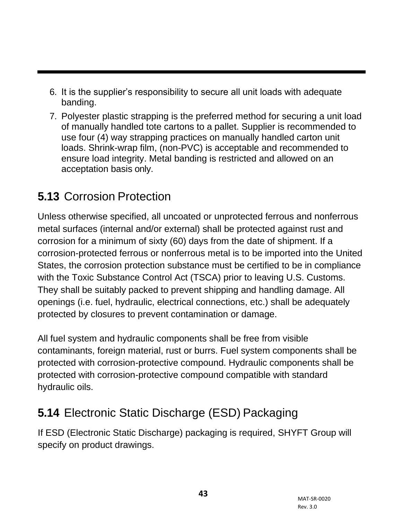- 6. It is the supplier's responsibility to secure all unit loads with adequate banding.
- 7. Polyester plastic strapping is the preferred method for securing a unit load of manually handled tote cartons to a pallet. Supplier is recommended to use four (4) way strapping practices on manually handled carton unit loads. Shrink-wrap film, (non-PVC) is acceptable and recommended to ensure load integrity. Metal banding is restricted and allowed on an acceptation basis only.

# **5.13** Corrosion Protection

Unless otherwise specified, all uncoated or unprotected ferrous and nonferrous metal surfaces (internal and/or external) shall be protected against rust and corrosion for a minimum of sixty (60) days from the date of shipment. If a corrosion-protected ferrous or nonferrous metal is to be imported into the United States, the corrosion protection substance must be certified to be in compliance with the Toxic Substance Control Act (TSCA) prior to leaving U.S. Customs. They shall be suitably packed to prevent shipping and handling damage. All openings (i.e. fuel, hydraulic, electrical connections, etc.) shall be adequately protected by closures to prevent contamination or damage.

All fuel system and hydraulic components shall be free from visible contaminants, foreign material, rust or burrs. Fuel system components shall be protected with corrosion-protective compound. Hydraulic components shall be protected with corrosion-protective compound compatible with standard hydraulic oils.

# **5.14** Electronic Static Discharge (ESD) Packaging

If ESD (Electronic Static Discharge) packaging is required, SHYFT Group will specify on product drawings.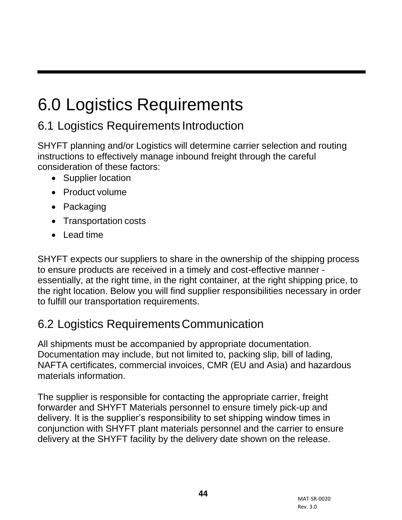# 6.0 Logistics Requirements

# 6.1 Logistics Requirements Introduction

SHYFT planning and/or Logistics will determine carrier selection and routing instructions to effectively manage inbound freight through the careful consideration of these factors:

- Supplier location
- Product volume
- Packaging
- Transportation costs
- Lead time

SHYFT expects our suppliers to share in the ownership of the shipping process to ensure products are received in a timely and cost-effective manner essentially, at the right time, in the right container, at the right shipping price, to the right location. Below you will find supplier responsibilities necessary in order to fulfill our transportation requirements.

## 6.2 Logistics RequirementsCommunication

All shipments must be accompanied by appropriate documentation. Documentation may include, but not limited to, packing slip, bill of lading, NAFTA certificates, commercial invoices, CMR (EU and Asia) and hazardous materials information.

The supplier is responsible for contacting the appropriate carrier, freight forwarder and SHYFT Materials personnel to ensure timely pick-up and delivery. It is the supplier's responsibility to set shipping window times in conjunction with SHYFT plant materials personnel and the carrier to ensure delivery at the SHYFT facility by the delivery date shown on the release.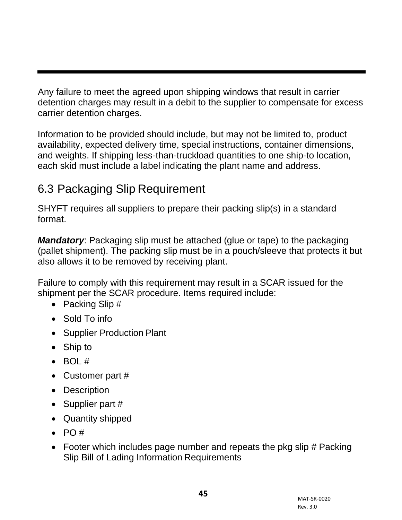Any failure to meet the agreed upon shipping windows that result in carrier detention charges may result in a debit to the supplier to compensate for excess carrier detention charges.

Information to be provided should include, but may not be limited to, product availability, expected delivery time, special instructions, container dimensions, and weights. If shipping less-than-truckload quantities to one ship-to location, each skid must include a label indicating the plant name and address.

## 6.3 Packaging Slip Requirement

SHYFT requires all suppliers to prepare their packing slip(s) in a standard format.

*Mandatory*: Packaging slip must be attached (glue or tape) to the packaging (pallet shipment). The packing slip must be in a pouch/sleeve that protects it but also allows it to be removed by receiving plant.

Failure to comply with this requirement may result in a SCAR issued for the shipment per the SCAR procedure. Items required include:

- Packing Slip #
- Sold To info
- Supplier Production Plant
- Ship to
- $\bullet$  BOL #
- Customer part #
- Description
- Supplier part #
- Quantity shipped
- $\bullet$  PO #
- Footer which includes page number and repeats the pkg slip # Packing Slip Bill of Lading Information Requirements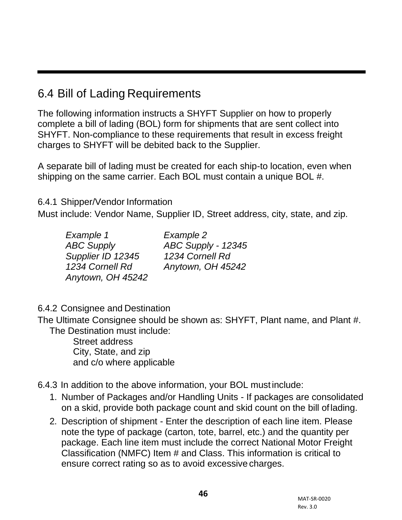## 6.4 Bill of Lading Requirements

The following information instructs a SHYFT Supplier on how to properly complete a bill of lading (BOL) form for shipments that are sent collect into SHYFT. Non-compliance to these requirements that result in excess freight charges to SHYFT will be debited back to the Supplier.

A separate bill of lading must be created for each ship-to location, even when shipping on the same carrier. Each BOL must contain a unique BOL #.

6.4.1 Shipper/Vendor Information

Must include: Vendor Name, Supplier ID, Street address, city, state, and zip.

| Example 1         | Example 2          |
|-------------------|--------------------|
| <b>ABC Supply</b> | ABC Supply - 12345 |
| Supplier ID 12345 | 1234 Cornell Rd    |
| 1234 Cornell Rd   | Anytown, OH 45242  |
| Anytown, OH 45242 |                    |

6.4.2 Consignee and Destination

The Ultimate Consignee should be shown as: SHYFT, Plant name, and Plant #. The Destination must include:

> Street address City, State, and zip and c/o where applicable

- 6.4.3 In addition to the above information, your BOL must include:
	- 1. Number of Packages and/or Handling Units If packages are consolidated on a skid, provide both package count and skid count on the bill oflading.
	- 2. Description of shipment Enter the description of each line item. Please note the type of package (carton, tote, barrel, etc.) and the quantity per package. Each line item must include the correct National Motor Freight Classification (NMFC) Item # and Class. This information is critical to ensure correct rating so as to avoid excessive charges.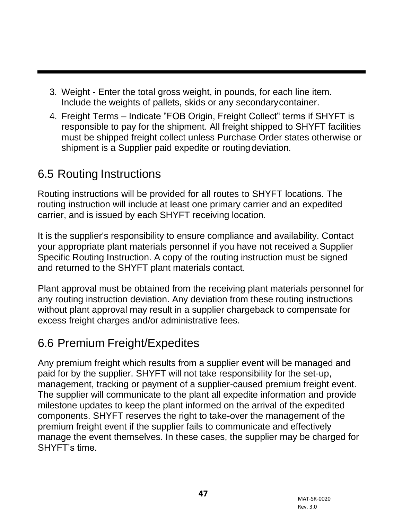- 3. Weight Enter the total gross weight, in pounds, for each line item. Include the weights of pallets, skids or any secondarycontainer.
- 4. Freight Terms Indicate "FOB Origin, Freight Collect" terms if SHYFT is responsible to pay for the shipment. All freight shipped to SHYFT facilities must be shipped freight collect unless Purchase Order states otherwise or shipment is a Supplier paid expedite or routing deviation.

## 6.5 Routing Instructions

Routing instructions will be provided for all routes to SHYFT locations. The routing instruction will include at least one primary carrier and an expedited carrier, and is issued by each SHYFT receiving location.

It is the supplier's responsibility to ensure compliance and availability. Contact your appropriate plant materials personnel if you have not received a Supplier Specific Routing Instruction. A copy of the routing instruction must be signed and returned to the SHYFT plant materials contact.

Plant approval must be obtained from the receiving plant materials personnel for any routing instruction deviation. Any deviation from these routing instructions without plant approval may result in a supplier chargeback to compensate for excess freight charges and/or administrative fees.

#### 6.6 Premium Freight/Expedites

Any premium freight which results from a supplier event will be managed and paid for by the supplier. SHYFT will not take responsibility for the set-up, management, tracking or payment of a supplier-caused premium freight event. The supplier will communicate to the plant all expedite information and provide milestone updates to keep the plant informed on the arrival of the expedited components. SHYFT reserves the right to take-over the management of the premium freight event if the supplier fails to communicate and effectively manage the event themselves. In these cases, the supplier may be charged for SHYFT's time.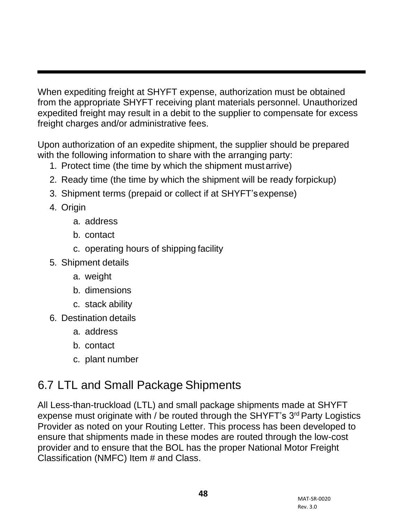When expediting freight at SHYFT expense, authorization must be obtained from the appropriate SHYFT receiving plant materials personnel. Unauthorized expedited freight may result in a debit to the supplier to compensate for excess freight charges and/or administrative fees.

Upon authorization of an expedite shipment, the supplier should be prepared with the following information to share with the arranging party:

- 1. Protect time (the time by which the shipment must arrive)
- 2. Ready time (the time by which the shipment will be ready forpickup)
- 3. Shipment terms (prepaid or collect if at SHYFT'sexpense)
- 4. Origin
	- a. address
	- b. contact
	- c. operating hours of shipping facility
- 5. Shipment details
	- a. weight
	- b. dimensions
	- c. stack ability
- 6. Destination details
	- a. address
	- b. contact
	- c. plant number

# 6.7 LTL and Small Package Shipments

All Less-than-truckload (LTL) and small package shipments made at SHYFT expense must originate with / be routed through the SHYFT's 3<sup>rd</sup> Party Logistics Provider as noted on your Routing Letter. This process has been developed to ensure that shipments made in these modes are routed through the low-cost provider and to ensure that the BOL has the proper National Motor Freight Classification (NMFC) Item # and Class.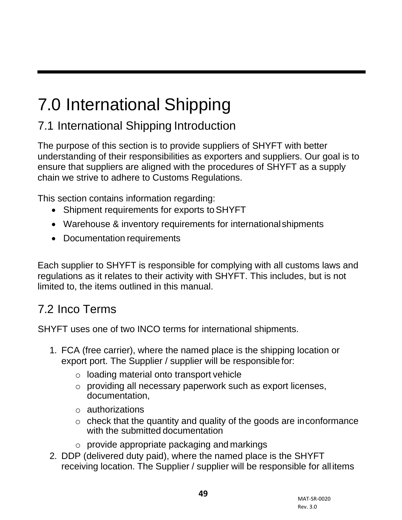# 7.0 International Shipping

# 7.1 International Shipping Introduction

The purpose of this section is to provide suppliers of SHYFT with better understanding of their responsibilities as exporters and suppliers. Our goal is to ensure that suppliers are aligned with the procedures of SHYFT as a supply chain we strive to adhere to Customs Regulations.

This section contains information regarding:

- Shipment requirements for exports toSHYFT
- Warehouse & inventory requirements for internationalshipments
- Documentation requirements

Each supplier to SHYFT is responsible for complying with all customs laws and regulations as it relates to their activity with SHYFT. This includes, but is not limited to, the items outlined in this manual.

## 7.2 Inco Terms

SHYFT uses one of two INCO terms for international shipments.

- 1. FCA (free carrier), where the named place is the shipping location or export port. The Supplier / supplier will be responsible for:
	- o loading material onto transport vehicle
	- o providing all necessary paperwork such as export licenses, documentation,
	- o authorizations
	- o check that the quantity and quality of the goods are inconformance with the submitted documentation
	- $\circ$  provide appropriate packaging and markings
- 2. DDP (delivered duty paid), where the named place is the SHYFT receiving location. The Supplier / supplier will be responsible for all items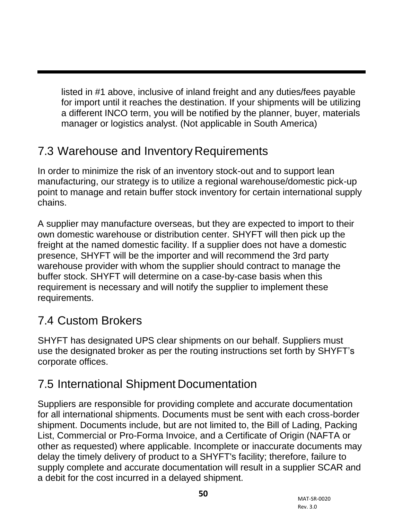listed in #1 above, inclusive of inland freight and any duties/fees payable for import until it reaches the destination. If your shipments will be utilizing a different INCO term, you will be notified by the planner, buyer, materials manager or logistics analyst. (Not applicable in South America)

## 7.3 Warehouse and Inventory Requirements

In order to minimize the risk of an inventory stock-out and to support lean manufacturing, our strategy is to utilize a regional warehouse/domestic pick-up point to manage and retain buffer stock inventory for certain international supply chains.

A supplier may manufacture overseas, but they are expected to import to their own domestic warehouse or distribution center. SHYFT will then pick up the freight at the named domestic facility. If a supplier does not have a domestic presence, SHYFT will be the importer and will recommend the 3rd party warehouse provider with whom the supplier should contract to manage the buffer stock. SHYFT will determine on a case-by-case basis when this requirement is necessary and will notify the supplier to implement these requirements.

## 7.4 Custom Brokers

SHYFT has designated UPS clear shipments on our behalf. Suppliers must use the designated broker as per the routing instructions set forth by SHYFT's corporate offices.

## 7.5 International Shipment Documentation

Suppliers are responsible for providing complete and accurate documentation for all international shipments. Documents must be sent with each cross-border shipment. Documents include, but are not limited to, the Bill of Lading, Packing List, Commercial or Pro-Forma Invoice, and a Certificate of Origin (NAFTA or other as requested) where applicable. Incomplete or inaccurate documents may delay the timely delivery of product to a SHYFT's facility; therefore, failure to supply complete and accurate documentation will result in a supplier SCAR and a debit for the cost incurred in a delayed shipment.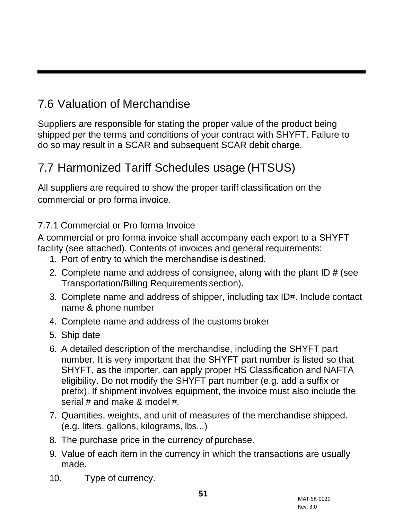# 7.6 Valuation of Merchandise

Suppliers are responsible for stating the proper value of the product being shipped per the terms and conditions of your contract with SHYFT. Failure to do so may result in a SCAR and subsequent SCAR debit charge.

## 7.7 Harmonized Tariff Schedules usage (HTSUS)

All suppliers are required to show the proper tariff classification on the commercial or pro forma invoice.

7.7.1 Commercial or Pro forma Invoice

A commercial or pro forma invoice shall accompany each export to a SHYFT facility (see attached). Contents of invoices and general requirements:

- 1. Port of entry to which the merchandise isdestined.
- 2. Complete name and address of consignee, along with the plant ID  $#$  (see Transportation/Billing Requirements section).
- 3. Complete name and address of shipper, including tax ID#. Include contact name & phone number
- 4. Complete name and address of the customs broker
- 5. Ship date
- 6. A detailed description of the merchandise, including the SHYFT part number. It is very important that the SHYFT part number is listed so that SHYFT, as the importer, can apply proper HS Classification and NAFTA eligibility. Do not modify the SHYFT part number (e.g. add a suffix or prefix). If shipment involves equipment, the invoice must also include the serial # and make & model #.
- 7. Quantities, weights, and unit of measures of the merchandise shipped. (e.g. liters, gallons, kilograms, lbs...)
- 8. The purchase price in the currency of purchase.
- 9. Value of each item in the currency in which the transactions are usually made.
- 10. Type of currency.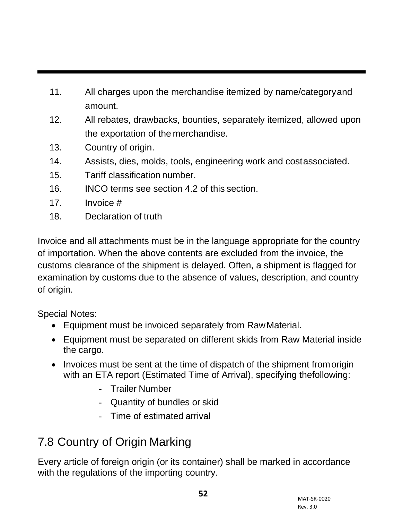- 11. All charges upon the merchandise itemized by name/categoryand amount.
- 12. All rebates, drawbacks, bounties, separately itemized, allowed upon the exportation of the merchandise.
- 13. Country of origin.
- 14. Assists, dies, molds, tools, engineering work and costassociated.
- 15. Tariff classification number.
- 16. INCO terms see section 4.2 of this section.
- 17. Invoice #
- 18. Declaration of truth

Invoice and all attachments must be in the language appropriate for the country of importation. When the above contents are excluded from the invoice, the customs clearance of the shipment is delayed. Often, a shipment is flagged for examination by customs due to the absence of values, description, and country of origin.

Special Notes:

- Equipment must be invoiced separately from RawMaterial.
- Equipment must be separated on different skids from Raw Material inside the cargo.
- Invoices must be sent at the time of dispatch of the shipment fromorigin with an ETA report (Estimated Time of Arrival), specifying thefollowing:
	- Trailer Number
	- Quantity of bundles or skid
	- Time of estimated arrival

# 7.8 Country of Origin Marking

Every article of foreign origin (or its container) shall be marked in accordance with the regulations of the importing country.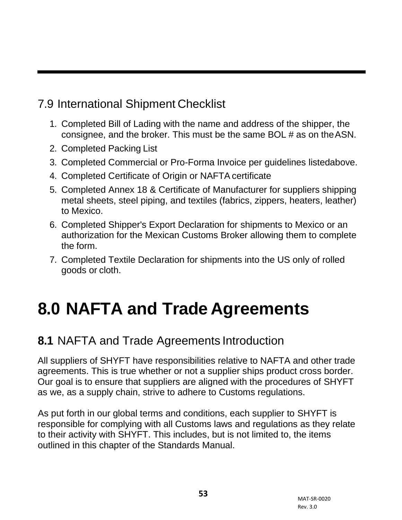# 7.9 International Shipment Checklist

- 1. Completed Bill of Lading with the name and address of the shipper, the consignee, and the broker. This must be the same BOL # as on theASN.
- 2. Completed Packing List
- 3. Completed Commercial or Pro-Forma Invoice per guidelines listedabove.
- 4. Completed Certificate of Origin or NAFTA certificate
- 5. Completed Annex 18 & Certificate of Manufacturer for suppliers shipping metal sheets, steel piping, and textiles (fabrics, zippers, heaters, leather) to Mexico.
- 6. Completed Shipper's Export Declaration for shipments to Mexico or an authorization for the Mexican Customs Broker allowing them to complete the form.
- 7. Completed Textile Declaration for shipments into the US only of rolled goods or cloth.

# **8.0 NAFTA and Trade Agreements**

## **8.1** NAFTA and Trade Agreements Introduction

All suppliers of SHYFT have responsibilities relative to NAFTA and other trade agreements. This is true whether or not a supplier ships product cross border. Our goal is to ensure that suppliers are aligned with the procedures of SHYFT as we, as a supply chain, strive to adhere to Customs regulations.

As put forth in our global terms and conditions, each supplier to SHYFT is responsible for complying with all Customs laws and regulations as they relate to their activity with SHYFT. This includes, but is not limited to, the items outlined in this chapter of the Standards Manual.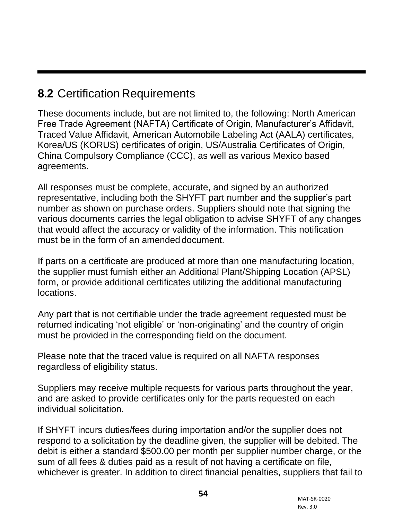## **8.2** Certification Requirements

These documents include, but are not limited to, the following: North American Free Trade Agreement (NAFTA) Certificate of Origin, Manufacturer's Affidavit, Traced Value Affidavit, American Automobile Labeling Act (AALA) certificates, Korea/US (KORUS) certificates of origin, US/Australia Certificates of Origin, China Compulsory Compliance (CCC), as well as various Mexico based agreements.

All responses must be complete, accurate, and signed by an authorized representative, including both the SHYFT part number and the supplier's part number as shown on purchase orders. Suppliers should note that signing the various documents carries the legal obligation to advise SHYFT of any changes that would affect the accuracy or validity of the information. This notification must be in the form of an amended document.

If parts on a certificate are produced at more than one manufacturing location, the supplier must furnish either an Additional Plant/Shipping Location (APSL) form, or provide additional certificates utilizing the additional manufacturing locations.

Any part that is not certifiable under the trade agreement requested must be returned indicating 'not eligible' or 'non-originating' and the country of origin must be provided in the corresponding field on the document.

Please note that the traced value is required on all NAFTA responses regardless of eligibility status.

Suppliers may receive multiple requests for various parts throughout the year, and are asked to provide certificates only for the parts requested on each individual solicitation.

If SHYFT incurs duties/fees during importation and/or the supplier does not respond to a solicitation by the deadline given, the supplier will be debited. The debit is either a standard \$500.00 per month per supplier number charge, or the sum of all fees & duties paid as a result of not having a certificate on file, whichever is greater. In addition to direct financial penalties, suppliers that fail to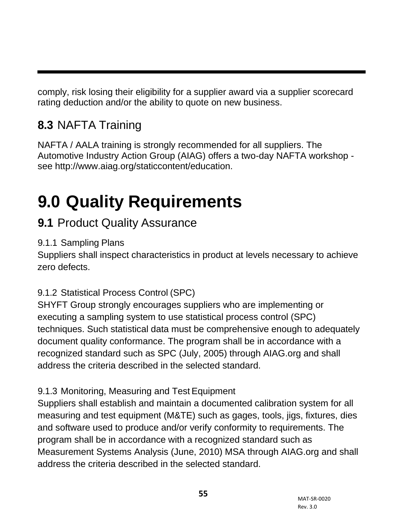comply, risk losing their eligibility for a supplier award via a supplier scorecard rating deduction and/or the ability to quote on new business.

# **8.3** NAFTA Training

NAFTA / AALA training is strongly recommended for all suppliers. The Automotive Industry Action Group (AIAG) offers a two-day NAFTA workshop see [http://www.aiag.org/staticcontent/education.](http://www.aiag.org/staticcontent/education)

# **9.0 Quality Requirements**

## **9.1** Product Quality Assurance

#### 9.1.1 Sampling Plans

Suppliers shall inspect characteristics in product at levels necessary to achieve zero defects.

#### 9.1.2 Statistical Process Control (SPC)

SHYFT Group strongly encourages suppliers who are implementing or executing a sampling system to use statistical process control (SPC) techniques. Such statistical data must be comprehensive enough to adequately document quality conformance. The program shall be in accordance with a recognized standard such as SPC (July, 2005) through AIAG.org and shall address the criteria described in the selected standard.

#### 9.1.3 Monitoring, Measuring and Test Equipment

Suppliers shall establish and maintain a documented calibration system for all measuring and test equipment (M&TE) such as gages, tools, jigs, fixtures, dies and software used to produce and/or verify conformity to requirements. The program shall be in accordance with a recognized standard such as Measurement Systems Analysis (June, 2010) MSA through AIAG.org and shall address the criteria described in the selected standard.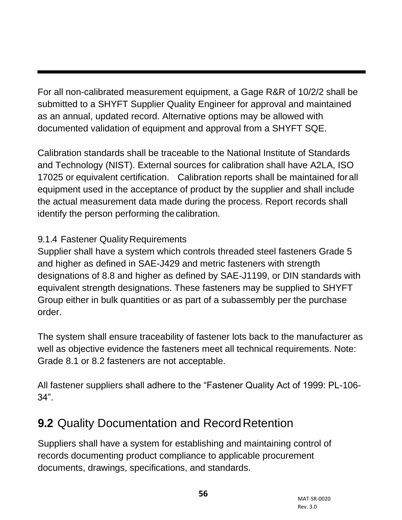For all non-calibrated measurement equipment, a Gage R&R of 10/2/2 shall be submitted to a SHYFT Supplier Quality Engineer for approval and maintained as an annual, updated record. Alternative options may be allowed with documented validation of equipment and approval from a SHYFT SQE.

Calibration standards shall be traceable to the National Institute of Standards and Technology (NIST). External sources for calibration shall have A2LA, ISO 17025 or equivalent certification. Calibration reports shall be maintained forall equipment used in the acceptance of product by the supplier and shall include the actual measurement data made during the process. Report records shall identify the person performing thecalibration.

#### 9.1.4 Fastener Quality Requirements

Supplier shall have a system which controls threaded steel fasteners Grade 5 and higher as defined in SAE-J429 and metric fasteners with strength designations of 8.8 and higher as defined by SAE-J1199, or DIN standards with equivalent strength designations. These fasteners may be supplied to SHYFT Group either in bulk quantities or as part of a subassembly per the purchase order.

The system shall ensure traceability of fastener lots back to the manufacturer as well as objective evidence the fasteners meet all technical requirements. Note: Grade 8.1 or 8.2 fasteners are not acceptable.

All fastener suppliers shall adhere to the "Fastener Quality Act of 1999: PL-106- 34".

# **9.2 Quality Documentation and Record Retention**

Suppliers shall have a system for establishing and maintaining control of records documenting product compliance to applicable procurement documents, drawings, specifications, and standards.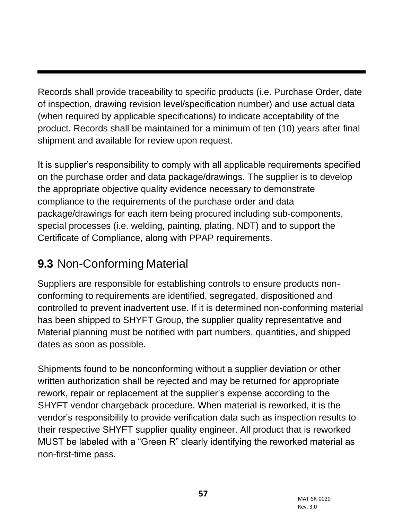Records shall provide traceability to specific products (i.e. Purchase Order, date of inspection, drawing revision level/specification number) and use actual data (when required by applicable specifications) to indicate acceptability of the product. Records shall be maintained for a minimum of ten (10) years after final shipment and available for review upon request.

It is supplier's responsibility to comply with all applicable requirements specified on the purchase order and data package/drawings. The supplier is to develop the appropriate objective quality evidence necessary to demonstrate compliance to the requirements of the purchase order and data package/drawings for each item being procured including sub-components, special processes (i.e. welding, painting, plating, NDT) and to support the Certificate of Compliance, along with PPAP requirements.

# **9.3** Non-Conforming Material

Suppliers are responsible for establishing controls to ensure products nonconforming to requirements are identified, segregated, dispositioned and controlled to prevent inadvertent use. If it is determined non-conforming material has been shipped to SHYFT Group, the supplier quality representative and Material planning must be notified with part numbers, quantities, and shipped dates as soon as possible.

Shipments found to be nonconforming without a supplier deviation or other written authorization shall be rejected and may be returned for appropriate rework, repair or replacement at the supplier's expense according to the SHYFT vendor chargeback procedure. When material is reworked, it is the vendor's responsibility to provide verification data such as inspection results to their respective SHYFT supplier quality engineer. All product that is reworked MUST be labeled with a "Green R" clearly identifying the reworked material as non-first-time pass.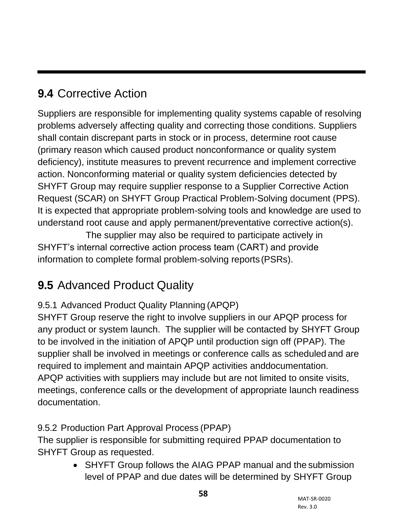# **9.4** Corrective Action

Suppliers are responsible for implementing quality systems capable of resolving problems adversely affecting quality and correcting those conditions. Suppliers shall contain discrepant parts in stock or in process, determine root cause (primary reason which caused product nonconformance or quality system deficiency), institute measures to prevent recurrence and implement corrective action. Nonconforming material or quality system deficiencies detected by SHYFT Group may require supplier response to a Supplier Corrective Action Request (SCAR) on SHYFT Group Practical Problem-Solving document (PPS). It is expected that appropriate problem-solving tools and knowledge are used to understand root cause and apply permanent/preventative corrective action(s).

The supplier may also be required to participate actively in SHYFT's internal corrective action process team (CART) and provide information to complete formal problem-solving reports (PSRs).

# **9.5** Advanced Product Quality

#### 9.5.1 Advanced Product Quality Planning (APQP)

SHYFT Group reserve the right to involve suppliers in our APQP process for any product or system launch. The supplier will be contacted by SHYFT Group to be involved in the initiation of APQP until production sign off (PPAP). The supplier shall be involved in meetings or conference calls as scheduled and are required to implement and maintain APQP activities anddocumentation. APQP activities with suppliers may include but are not limited to onsite visits, meetings, conference calls or the development of appropriate launch readiness documentation.

#### 9.5.2 Production Part Approval Process (PPAP)

The supplier is responsible for submitting required PPAP documentation to SHYFT Group as requested.

• SHYFT Group follows the AIAG PPAP manual and the submission level of PPAP and due dates will be determined by SHYFT Group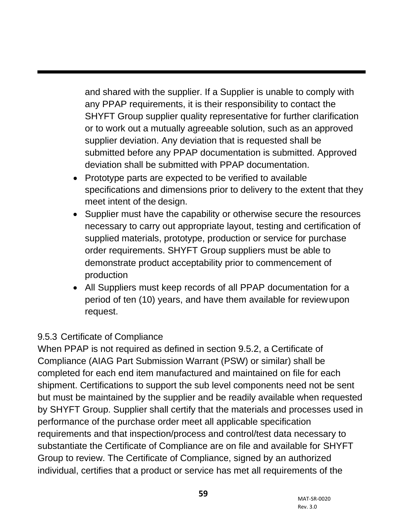and shared with the supplier. If a Supplier is unable to comply with any PPAP requirements, it is their responsibility to contact the SHYFT Group supplier quality representative for further clarification or to work out a mutually agreeable solution, such as an approved supplier deviation. Any deviation that is requested shall be submitted before any PPAP documentation is submitted. Approved deviation shall be submitted with PPAP documentation.

- Prototype parts are expected to be verified to available specifications and dimensions prior to delivery to the extent that they meet intent of the design.
- Supplier must have the capability or otherwise secure the resources necessary to carry out appropriate layout, testing and certification of supplied materials, prototype, production or service for purchase order requirements. SHYFT Group suppliers must be able to demonstrate product acceptability prior to commencement of production
- All Suppliers must keep records of all PPAP documentation for a period of ten (10) years, and have them available for reviewupon request.

#### 9.5.3 Certificate of Compliance

When PPAP is not required as defined in section 9.5.2, a Certificate of Compliance (AIAG Part Submission Warrant (PSW) or similar) shall be completed for each end item manufactured and maintained on file for each shipment. Certifications to support the sub level components need not be sent but must be maintained by the supplier and be readily available when requested by SHYFT Group. Supplier shall certify that the materials and processes used in performance of the purchase order meet all applicable specification requirements and that inspection/process and control/test data necessary to substantiate the Certificate of Compliance are on file and available for SHYFT Group to review. The Certificate of Compliance, signed by an authorized individual, certifies that a product or service has met all requirements of the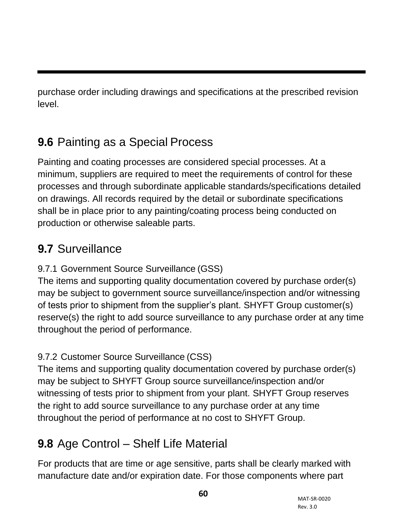purchase order including drawings and specifications at the prescribed revision level.

# **9.6** Painting as a Special Process

Painting and coating processes are considered special processes. At a minimum, suppliers are required to meet the requirements of control for these processes and through subordinate applicable standards/specifications detailed on drawings. All records required by the detail or subordinate specifications shall be in place prior to any painting/coating process being conducted on production or otherwise saleable parts.

## **9.7** Surveillance

#### 9.7.1 Government Source Surveillance (GSS)

The items and supporting quality documentation covered by purchase order(s) may be subject to government source surveillance/inspection and/or witnessing of tests prior to shipment from the supplier's plant. SHYFT Group customer(s) reserve(s) the right to add source surveillance to any purchase order at any time throughout the period of performance.

#### 9.7.2 Customer Source Surveillance (CSS)

The items and supporting quality documentation covered by purchase order(s) may be subject to SHYFT Group source surveillance/inspection and/or witnessing of tests prior to shipment from your plant. SHYFT Group reserves the right to add source surveillance to any purchase order at any time throughout the period of performance at no cost to SHYFT Group.

## **9.8** Age Control – Shelf Life Material

For products that are time or age sensitive, parts shall be clearly marked with manufacture date and/or expiration date. For those components where part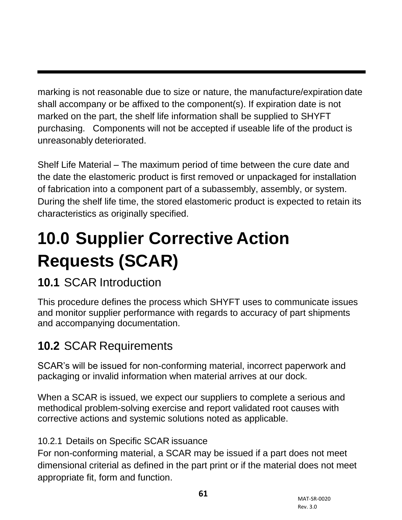marking is not reasonable due to size or nature, the manufacture/expiration date shall accompany or be affixed to the component(s). If expiration date is not marked on the part, the shelf life information shall be supplied to SHYFT purchasing. Components will not be accepted if useable life of the product is unreasonably deteriorated.

Shelf Life Material – The maximum period of time between the cure date and the date the elastomeric product is first removed or unpackaged for installation of fabrication into a component part of a subassembly, assembly, or system. During the shelf life time, the stored elastomeric product is expected to retain its characteristics as originally specified.

# **10.0 Supplier Corrective Action Requests (SCAR)**

# **10.1** SCAR Introduction

This procedure defines the process which SHYFT uses to communicate issues and monitor supplier performance with regards to accuracy of part shipments and accompanying documentation.

# **10.2** SCAR Requirements

SCAR's will be issued for non-conforming material, incorrect paperwork and packaging or invalid information when material arrives at our dock.

When a SCAR is issued, we expect our suppliers to complete a serious and methodical problem-solving exercise and report validated root causes with corrective actions and systemic solutions noted as applicable.

#### 10.2.1 Details on Specific SCAR issuance

For non-conforming material, a SCAR may be issued if a part does not meet dimensional criterial as defined in the part print or if the material does not meet appropriate fit, form and function.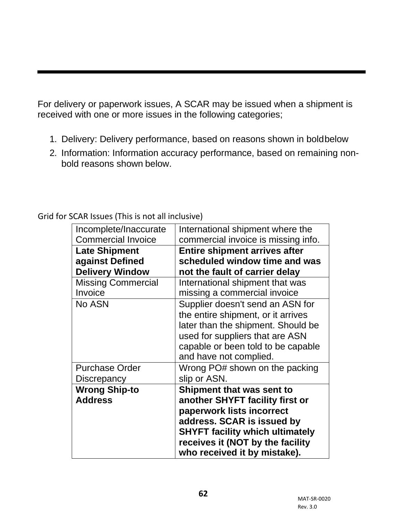For delivery or paperwork issues, A SCAR may be issued when a shipment is received with one or more issues in the following categories;

- 1. Delivery: Delivery performance, based on reasons shown in boldbelow
- 2. Information: Information accuracy performance, based on remaining nonbold reasons shown below.

Grid for SCAR Issues (This is not all inclusive)

| Incomplete/Inaccurate<br><b>Commercial Invoice</b> | International shipment where the<br>commercial invoice is missing info.                                                                                                                                                               |
|----------------------------------------------------|---------------------------------------------------------------------------------------------------------------------------------------------------------------------------------------------------------------------------------------|
| <b>Late Shipment</b>                               | <b>Entire shipment arrives after</b>                                                                                                                                                                                                  |
| against Defined                                    | scheduled window time and was                                                                                                                                                                                                         |
| <b>Delivery Window</b>                             | not the fault of carrier delay                                                                                                                                                                                                        |
| <b>Missing Commercial</b><br>Invoice               | International shipment that was<br>missing a commercial invoice                                                                                                                                                                       |
| No ASN                                             | Supplier doesn't send an ASN for<br>the entire shipment, or it arrives<br>later than the shipment. Should be<br>used for suppliers that are ASN<br>capable or been told to be capable<br>and have not complied.                       |
| <b>Purchase Order</b><br><b>Discrepancy</b>        | Wrong PO# shown on the packing<br>slip or ASN.                                                                                                                                                                                        |
| <b>Wrong Ship-to</b><br><b>Address</b>             | Shipment that was sent to<br>another SHYFT facility first or<br>paperwork lists incorrect<br>address. SCAR is issued by<br><b>SHYFT facility which ultimately</b><br>receives it (NOT by the facility<br>who received it by mistake). |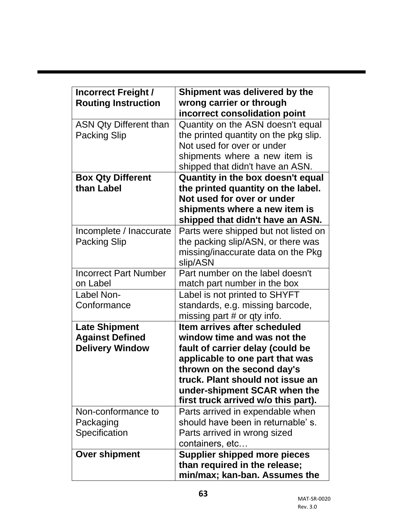| <b>Incorrect Freight /</b><br><b>Routing Instruction</b>                 | Shipment was delivered by the<br>wrong carrier or through<br>incorrect consolidation point                                                                                                                                                                                  |  |
|--------------------------------------------------------------------------|-----------------------------------------------------------------------------------------------------------------------------------------------------------------------------------------------------------------------------------------------------------------------------|--|
| <b>ASN Qty Different than</b><br><b>Packing Slip</b>                     | Quantity on the ASN doesn't equal<br>the printed quantity on the pkg slip.<br>Not used for over or under<br>shipments where a new item is<br>shipped that didn't have an ASN.                                                                                               |  |
| <b>Box Qty Different</b>                                                 | Quantity in the box doesn't equal                                                                                                                                                                                                                                           |  |
| than Label                                                               | the printed quantity on the label.<br>Not used for over or under<br>shipments where a new item is<br>shipped that didn't have an ASN.                                                                                                                                       |  |
| Incomplete / Inaccurate<br><b>Packing Slip</b>                           | Parts were shipped but not listed on<br>the packing slip/ASN, or there was<br>missing/inaccurate data on the Pkg<br>slip/ASN                                                                                                                                                |  |
| <b>Incorrect Part Number</b><br>on Label                                 | Part number on the label doesn't<br>match part number in the box                                                                                                                                                                                                            |  |
| Label Non-<br>Conformance                                                | Label is not printed to SHYFT<br>standards, e.g. missing barcode,<br>missing part $#$ or qty info.                                                                                                                                                                          |  |
| <b>Late Shipment</b><br><b>Against Defined</b><br><b>Delivery Window</b> | Item arrives after scheduled<br>window time and was not the<br>fault of carrier delay (could be<br>applicable to one part that was<br>thrown on the second day's<br>truck. Plant should not issue an<br>under-shipment SCAR when the<br>first truck arrived w/o this part). |  |
| Non-conformance to<br>Packaging<br>Specification                         | Parts arrived in expendable when<br>should have been in returnable's.<br>Parts arrived in wrong sized<br>containers, etc                                                                                                                                                    |  |
| <b>Over shipment</b>                                                     | <b>Supplier shipped more pieces</b><br>than required in the release;<br>min/max; kan-ban. Assumes the                                                                                                                                                                       |  |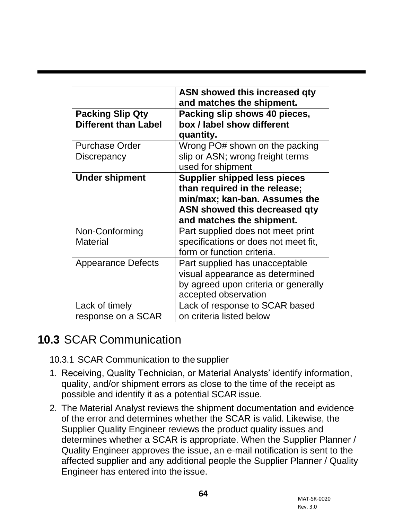|                                                        | ASN showed this increased qty<br>and matches the shipment.                                                                                                          |
|--------------------------------------------------------|---------------------------------------------------------------------------------------------------------------------------------------------------------------------|
| <b>Packing Slip Qty</b><br><b>Different than Label</b> | Packing slip shows 40 pieces,<br>box / label show different<br>quantity.                                                                                            |
| <b>Purchase Order</b><br><b>Discrepancy</b>            | Wrong PO# shown on the packing<br>slip or ASN; wrong freight terms<br>used for shipment                                                                             |
| <b>Under shipment</b>                                  | <b>Supplier shipped less pieces</b><br>than required in the release;<br>min/max; kan-ban. Assumes the<br>ASN showed this decreased qty<br>and matches the shipment. |
| Non-Conforming<br><b>Material</b>                      | Part supplied does not meet print<br>specifications or does not meet fit,<br>form or function criteria.                                                             |
| <b>Appearance Defects</b>                              | Part supplied has unacceptable<br>visual appearance as determined<br>by agreed upon criteria or generally<br>accepted observation                                   |
| Lack of timely<br>response on a SCAR                   | Lack of response to SCAR based<br>on criteria listed below                                                                                                          |

#### **10.3** SCAR Communication

10.3.1 SCAR Communication to the supplier

- 1. Receiving, Quality Technician, or Material Analysts' identify information, quality, and/or shipment errors as close to the time of the receipt as possible and identify it as a potential SCARissue.
- 2. The Material Analyst reviews the shipment documentation and evidence of the error and determines whether the SCAR is valid. Likewise, the Supplier Quality Engineer reviews the product quality issues and determines whether a SCAR is appropriate. When the Supplier Planner / Quality Engineer approves the issue, an e-mail notification is sent to the affected supplier and any additional people the Supplier Planner / Quality Engineer has entered into the issue.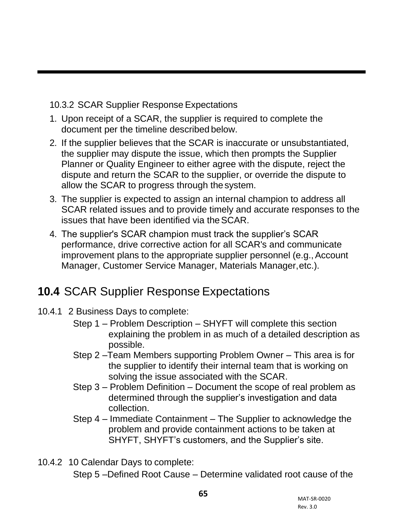10.3.2 SCAR Supplier Response Expectations

- 1. Upon receipt of a SCAR, the supplier is required to complete the document per the timeline described below.
- 2. If the supplier believes that the SCAR is inaccurate or unsubstantiated, the supplier may dispute the issue, which then prompts the Supplier Planner or Quality Engineer to either agree with the dispute, reject the dispute and return the SCAR to the supplier, or override the dispute to allow the SCAR to progress through the system.
- 3. The supplier is expected to assign an internal champion to address all SCAR related issues and to provide timely and accurate responses to the issues that have been identified via theSCAR.
- 4. The supplier's SCAR champion must track the supplier's SCAR performance, drive corrective action for all SCAR's and communicate improvement plans to the appropriate supplier personnel (e.g., Account Manager, Customer Service Manager, Materials Manager,etc.).

# **10.4** SCAR Supplier Response Expectations

- 10.4.1 2 Business Days to complete:
	- Step 1 Problem Description SHYFT will complete this section explaining the problem in as much of a detailed description as possible.
	- Step 2 –Team Members supporting Problem Owner This area is for the supplier to identify their internal team that is working on solving the issue associated with the SCAR.
	- Step 3 Problem Definition Document the scope of real problem as determined through the supplier's investigation and data collection.
	- Step 4 Immediate Containment The Supplier to acknowledge the problem and provide containment actions to be taken at SHYFT, SHYFT's customers, and the Supplier's site.
- 10.4.2 10 Calendar Days to complete:

Step 5 –Defined Root Cause – Determine validated root cause of the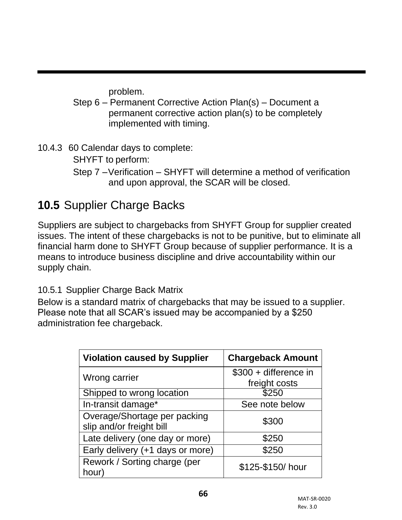problem.

- Step 6 Permanent Corrective Action Plan(s) Document a permanent corrective action plan(s) to be completely implemented with timing.
- 10.4.3 60 Calendar days to complete:
	- SHYFT to perform:
	- Step 7 –Verification SHYFT will determine a method of verification and upon approval, the SCAR will be closed.

# **10.5** Supplier Charge Backs

Suppliers are subject to chargebacks from SHYFT Group for supplier created issues. The intent of these chargebacks is not to be punitive, but to eliminate all financial harm done to SHYFT Group because of supplier performance. It is a means to introduce business discipline and drive accountability within our supply chain.

#### 10.5.1 Supplier Charge Back Matrix

Below is a standard matrix of chargebacks that may be issued to a supplier. Please note that all SCAR's issued may be accompanied by a \$250 administration fee chargeback.

| <b>Violation caused by Supplier</b>                      | <b>Chargeback Amount</b>               |
|----------------------------------------------------------|----------------------------------------|
| Wrong carrier                                            | \$300 + difference in<br>freight costs |
| Shipped to wrong location                                | \$250                                  |
| In-transit damage*                                       | See note below                         |
| Overage/Shortage per packing<br>slip and/or freight bill | \$300                                  |
| Late delivery (one day or more)                          | \$250                                  |
| Early delivery (+1 days or more)                         | \$250                                  |
| Rework / Sorting charge (per<br>hour)                    | \$125-\$150/hour                       |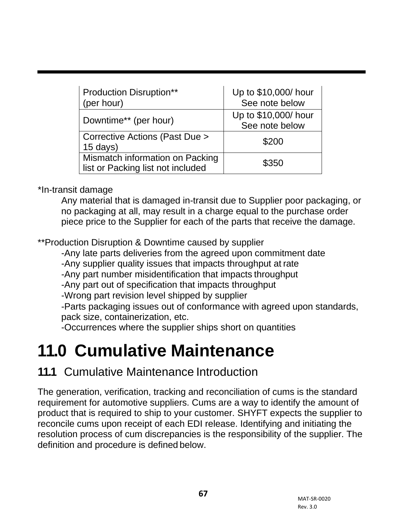| <b>Production Disruption**</b><br>(per hour)                         | Up to \$10,000/ hour<br>See note below |
|----------------------------------------------------------------------|----------------------------------------|
| Downtime** (per hour)                                                | Up to \$10,000/ hour<br>See note below |
| Corrective Actions (Past Due ><br>$15$ days)                         | \$200                                  |
| Mismatch information on Packing<br>list or Packing list not included | \$350                                  |

\*In-transit damage

Any material that is damaged in-transit due to Supplier poor packaging, or no packaging at all, may result in a charge equal to the purchase order piece price to the Supplier for each of the parts that receive the damage.

\*\*Production Disruption & Downtime caused by supplier

-Any late parts deliveries from the agreed upon commitment date

-Any supplier quality issues that impacts throughput at rate

-Any part number misidentification that impacts throughput

-Any part out of specification that impacts throughput

-Wrong part revision level shipped by supplier

-Parts packaging issues out of conformance with agreed upon standards, pack size, containerization, etc.

-Occurrences where the supplier ships short on quantities

# **11.0 Cumulative Maintenance**

#### **11.1** Cumulative Maintenance Introduction

The generation, verification, tracking and reconciliation of cums is the standard requirement for automotive suppliers. Cums are a way to identify the amount of product that is required to ship to your customer. SHYFT expects the supplier to reconcile cums upon receipt of each EDI release. Identifying and initiating the resolution process of cum discrepancies is the responsibility of the supplier. The definition and procedure is defined below.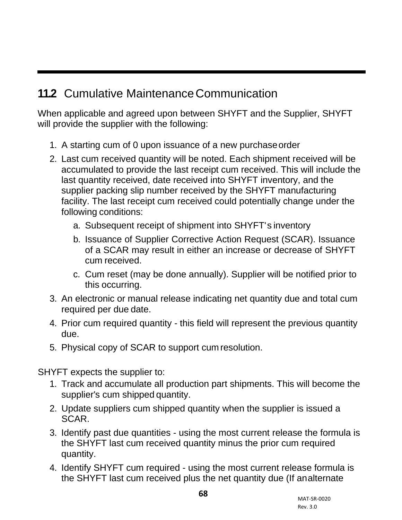## **11.2** Cumulative Maintenance Communication

When applicable and agreed upon between SHYFT and the Supplier, SHYFT will provide the supplier with the following:

- 1. A starting cum of 0 upon issuance of a new purchaseorder
- 2. Last cum received quantity will be noted. Each shipment received will be accumulated to provide the last receipt cum received. This will include the last quantity received, date received into SHYFT inventory, and the supplier packing slip number received by the SHYFT manufacturing facility. The last receipt cum received could potentially change under the following conditions:
	- a. Subsequent receipt of shipment into SHYFT's inventory
	- b. Issuance of Supplier Corrective Action Request (SCAR). Issuance of a SCAR may result in either an increase or decrease of SHYFT cum received.
	- c. Cum reset (may be done annually). Supplier will be notified prior to this occurring.
- 3. An electronic or manual release indicating net quantity due and total cum required per due date.
- 4. Prior cum required quantity this field will represent the previous quantity due.
- 5. Physical copy of SCAR to support cum resolution.

SHYFT expects the supplier to:

- 1. Track and accumulate all production part shipments. This will become the supplier's cum shipped quantity.
- 2. Update suppliers cum shipped quantity when the supplier is issued a SCAR.
- 3. Identify past due quantities using the most current release the formula is the SHYFT last cum received quantity minus the prior cum required quantity.
- 4. Identify SHYFT cum required using the most current release formula is the SHYFT last cum received plus the net quantity due (If analternate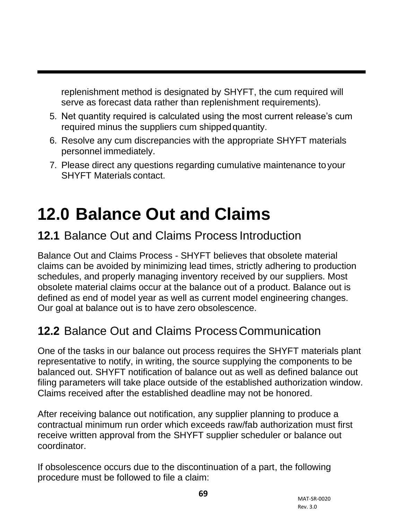replenishment method is designated by SHYFT, the cum required will serve as forecast data rather than replenishment requirements).

- 5. Net quantity required is calculated using the most current release's cum required minus the suppliers cum shippedquantity.
- 6. Resolve any cum discrepancies with the appropriate SHYFT materials personnel immediately.
- 7. Please direct any questions regarding cumulative maintenance toyour SHYFT Materials contact.

# **12.0 Balance Out and Claims**

## **12.1** Balance Out and Claims Process Introduction

Balance Out and Claims Process - SHYFT believes that obsolete material claims can be avoided by minimizing lead times, strictly adhering to production schedules, and properly managing inventory received by our suppliers. Most obsolete material claims occur at the balance out of a product. Balance out is defined as end of model year as well as current model engineering changes. Our goal at balance out is to have zero obsolescence.

# **12.2** Balance Out and Claims ProcessCommunication

One of the tasks in our balance out process requires the SHYFT materials plant representative to notify, in writing, the source supplying the components to be balanced out. SHYFT notification of balance out as well as defined balance out filing parameters will take place outside of the established authorization window. Claims received after the established deadline may not be honored.

After receiving balance out notification, any supplier planning to produce a contractual minimum run order which exceeds raw/fab authorization must first receive written approval from the SHYFT supplier scheduler or balance out coordinator.

If obsolescence occurs due to the discontinuation of a part, the following procedure must be followed to file a claim: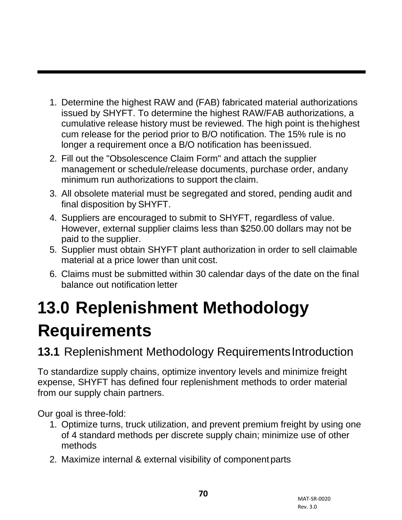- 1. Determine the highest RAW and (FAB) fabricated material authorizations issued by SHYFT. To determine the highest RAW/FAB authorizations, a cumulative release history must be reviewed. The high point is thehighest cum release for the period prior to B/O notification. The 15% rule is no longer a requirement once a B/O notification has beenissued.
- 2. Fill out the "Obsolescence Claim Form" and attach the supplier management or schedule/release documents, purchase order, andany minimum run authorizations to support the claim.
- 3. All obsolete material must be segregated and stored, pending audit and final disposition by SHYFT.
- 4. Suppliers are encouraged to submit to SHYFT, regardless of value. However, external supplier claims less than \$250.00 dollars may not be paid to the supplier.
- 5. Supplier must obtain SHYFT plant authorization in order to sell claimable material at a price lower than unit cost.
- 6. Claims must be submitted within 30 calendar days of the date on the final balance out notification letter

# **13.0 Replenishment Methodology Requirements**

**13.1** Replenishment Methodology Requirements Introduction

To standardize supply chains, optimize inventory levels and minimize freight expense, SHYFT has defined four replenishment methods to order material from our supply chain partners.

Our goal is three-fold:

- 1. Optimize turns, truck utilization, and prevent premium freight by using one of 4 standard methods per discrete supply chain; minimize use of other methods
- 2. Maximize internal & external visibility of component parts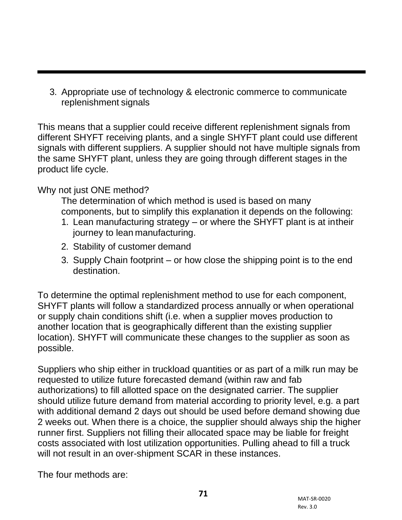3. Appropriate use of technology & electronic commerce to communicate replenishment signals

This means that a supplier could receive different replenishment signals from different SHYFT receiving plants, and a single SHYFT plant could use different signals with different suppliers. A supplier should not have multiple signals from the same SHYFT plant, unless they are going through different stages in the product life cycle.

Why not just ONE method?

The determination of which method is used is based on many components, but to simplify this explanation it depends on the following:

- 1. Lean manufacturing strategy or where the SHYFT plant is at intheir journey to lean manufacturing.
- 2. Stability of customer demand
- 3. Supply Chain footprint or how close the shipping point is to the end destination.

To determine the optimal replenishment method to use for each component, SHYFT plants will follow a standardized process annually or when operational or supply chain conditions shift (i.e. when a supplier moves production to another location that is geographically different than the existing supplier location). SHYFT will communicate these changes to the supplier as soon as possible.

Suppliers who ship either in truckload quantities or as part of a milk run may be requested to utilize future forecasted demand (within raw and fab authorizations) to fill allotted space on the designated carrier. The supplier should utilize future demand from material according to priority level, e.g. a part with additional demand 2 days out should be used before demand showing due 2 weeks out. When there is a choice, the supplier should always ship the higher runner first. Suppliers not filling their allocated space may be liable for freight costs associated with lost utilization opportunities. Pulling ahead to fill a truck will not result in an over-shipment SCAR in these instances.

The four methods are: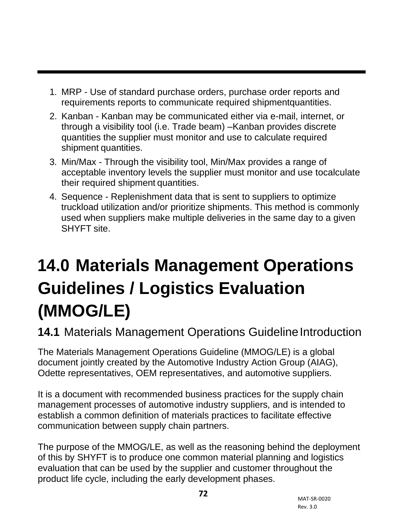- 1. MRP Use of standard purchase orders, purchase order reports and requirements reports to communicate required shipmentquantities.
- 2. Kanban Kanban may be communicated either via e-mail, internet, or through a visibility tool (i.e. Trade beam) –Kanban provides discrete quantities the supplier must monitor and use to calculate required shipment quantities.
- 3. Min/Max Through the visibility tool, Min/Max provides a range of acceptable inventory levels the supplier must monitor and use tocalculate their required shipment quantities.
- 4. Sequence Replenishment data that is sent to suppliers to optimize truckload utilization and/or prioritize shipments. This method is commonly used when suppliers make multiple deliveries in the same day to a given SHYFT site.

# **14.0 Materials Management Operations Guidelines / Logistics Evaluation (MMOG/LE)**

# **14.1 Materials Management Operations Guideline Introduction**

The Materials Management Operations Guideline (MMOG/LE) is a global document jointly created by the Automotive Industry Action Group (AIAG), Odette representatives, OEM representatives, and automotive suppliers.

It is a document with recommended business practices for the supply chain management processes of automotive industry suppliers, and is intended to establish a common definition of materials practices to facilitate effective communication between supply chain partners.

The purpose of the MMOG/LE, as well as the reasoning behind the deployment of this by SHYFT is to produce one common material planning and logistics evaluation that can be used by the supplier and customer throughout the product life cycle, including the early development phases.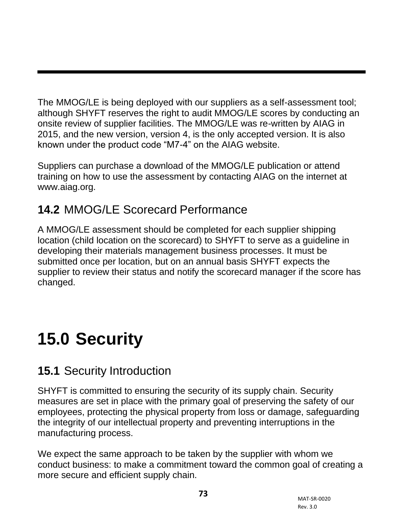The MMOG/LE is being deployed with our suppliers as a self-assessment tool; although SHYFT reserves the right to audit MMOG/LE scores by conducting an onsite review of supplier facilities. The MMOG/LE was re-written by AIAG in 2015, and the new version, version 4, is the only accepted version. It is also known under the product code "M7-4" on the AIAG website.

Suppliers can purchase a download of the MMOG/LE publication or attend training on how to use the assessment by contacting AIAG on the internet at [www.aiag.org.](http://www.aiag.org/)

# **14.2** MMOG/LE Scorecard Performance

A MMOG/LE assessment should be completed for each supplier shipping location (child location on the scorecard) to SHYFT to serve as a guideline in developing their materials management business processes. It must be submitted once per location, but on an annual basis SHYFT expects the supplier to review their status and notify the scorecard manager if the score has changed.

# **15.0 Security**

# **15.1** Security Introduction

SHYFT is committed to ensuring the security of its supply chain. Security measures are set in place with the primary goal of preserving the safety of our employees, protecting the physical property from loss or damage, safeguarding the integrity of our intellectual property and preventing interruptions in the manufacturing process.

We expect the same approach to be taken by the supplier with whom we conduct business: to make a commitment toward the common goal of creating a more secure and efficient supply chain.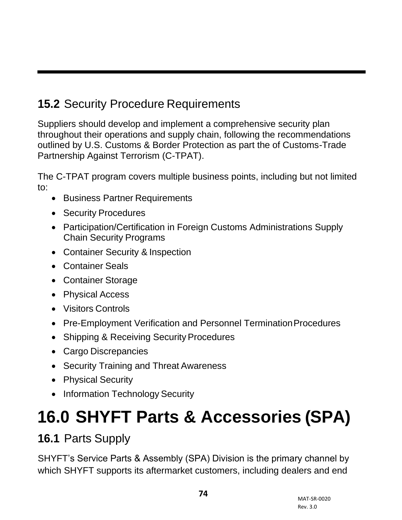## **15.2** Security Procedure Requirements

Suppliers should develop and implement a comprehensive security plan throughout their operations and supply chain, following the recommendations outlined by U.S. Customs & Border Protection as part the of Customs-Trade Partnership Against Terrorism (C-TPAT).

The C-TPAT program covers multiple business points, including but not limited to:

- Business Partner Requirements
- Security Procedures
- Participation/Certification in Foreign Customs Administrations Supply Chain Security Programs
- Container Security & Inspection
- Container Seals
- Container Storage
- Physical Access
- Visitors Controls
- Pre-Employment Verification and Personnel Termination Procedures
- Shipping & Receiving Security Procedures
- Cargo Discrepancies
- Security Training and Threat Awareness
- Physical Security
- Information Technology Security

## **16.0 SHYFT Parts & Accessories (SPA)**

## **16.1** Parts Supply

SHYFT's Service Parts & Assembly (SPA) Division is the primary channel by which SHYFT supports its aftermarket customers, including dealers and end